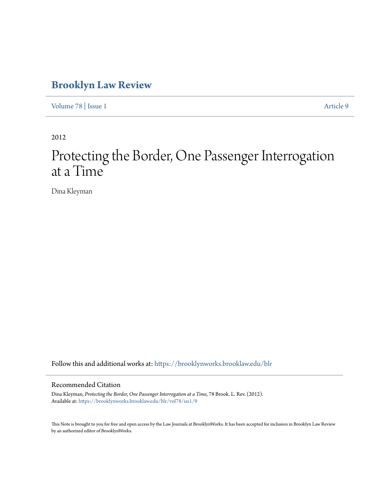### **[Brooklyn Law Review](https://brooklynworks.brooklaw.edu/blr?utm_source=brooklynworks.brooklaw.edu%2Fblr%2Fvol78%2Fiss1%2F9&utm_medium=PDF&utm_campaign=PDFCoverPages)**

[Volume 78](https://brooklynworks.brooklaw.edu/blr/vol78?utm_source=brooklynworks.brooklaw.edu%2Fblr%2Fvol78%2Fiss1%2F9&utm_medium=PDF&utm_campaign=PDFCoverPages) | [Issue 1](https://brooklynworks.brooklaw.edu/blr/vol78/iss1?utm_source=brooklynworks.brooklaw.edu%2Fblr%2Fvol78%2Fiss1%2F9&utm_medium=PDF&utm_campaign=PDFCoverPages) [Article 9](https://brooklynworks.brooklaw.edu/blr/vol78/iss1/9?utm_source=brooklynworks.brooklaw.edu%2Fblr%2Fvol78%2Fiss1%2F9&utm_medium=PDF&utm_campaign=PDFCoverPages)

2012

# Protecting the Border, One Passenger Interrogation at a Time

Dina Kleyman

Follow this and additional works at: [https://brooklynworks.brooklaw.edu/blr](https://brooklynworks.brooklaw.edu/blr?utm_source=brooklynworks.brooklaw.edu%2Fblr%2Fvol78%2Fiss1%2F9&utm_medium=PDF&utm_campaign=PDFCoverPages)

### Recommended Citation

Dina Kleyman, *Protecting the Border, One Passenger Interrogation at a Time*, 78 Brook. L. Rev. (2012). Available at: [https://brooklynworks.brooklaw.edu/blr/vol78/iss1/9](https://brooklynworks.brooklaw.edu/blr/vol78/iss1/9?utm_source=brooklynworks.brooklaw.edu%2Fblr%2Fvol78%2Fiss1%2F9&utm_medium=PDF&utm_campaign=PDFCoverPages)

This Note is brought to you for free and open access by the Law Journals at BrooklynWorks. It has been accepted for inclusion in Brooklyn Law Review by an authorized editor of BrooklynWorks.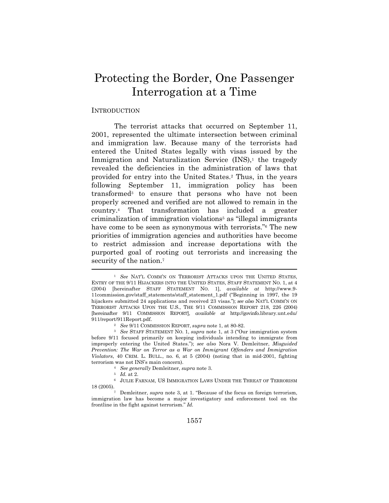## Protecting the Border, One Passenger Interrogation at a Time

#### INTRODUCTION

The terrorist attacks that occurred on September 11, 2001, represented the ultimate intersection between criminal and immigration law. Because many of the terrorists had entered the United States legally with visas issued by the Immigration and Naturalization Service  $(INS)$ , the tragedy revealed the deficiencies in the administration of laws that provided for entry into the United States.2 Thus, in the years following September 11, immigration policy has been transformed3 to ensure that persons who have not been properly screened and verified are not allowed to remain in the country.4 That transformation has included a greater criminalization of immigration violations5 as "illegal immigrants have come to be seen as synonymous with terrorists."<sup>6</sup> The new priorities of immigration agencies and authorities have become to restrict admission and increase deportations with the purported goal of rooting out terrorists and increasing the security of the nation.<sup>7</sup>

<sup>&</sup>lt;sup>1</sup> See NAT'L COMM'N ON TERRORIST ATTACKS UPON THE UNITED STATES, ENTRY OF THE 9/11 HIJACKERS INTO THE UNITED STATES, STAFF STATEMENT NO. 1, at 4 (2004) [hereinafter STAFF STATEMENT NO. 1], *available at* http://www.9- 11commission.gov/staff\_statements/staff\_statement\_1.pdf ("Beginning in 1997, the 19 hijackers submitted 24 applications and received 23 visas."); *see also* NAT'L COMM'N ON TERRORIST ATTACKS UPON THE U.S., THE 9/11 COMMISSION REPORT 218, 226 (2004) [hereinafter 9/11 COMMISSION REPORT], *available at* http://govinfo.library.unt.edu/ 911/report/911Report.pdf. 2 *See* 9/11 COMMISSION REPORT, *supra* note 1, at 80-82. 3 *See* STAFF STATEMENT NO. 1, *supra* note 1, at <sup>3</sup> ("Our immigration system

before 9/11 focused primarily on keeping individuals intending to immigrate from improperly entering the United States."); *see also* Nora V. Demleitner, *Misguided Prevention: The War on Terror as a War on Immigrant Offenders and Immigration Violators*, 40 CRIM. L. BULL., no. 6, at 5 (2004) (noting that in mid-2001, fighting

terrorism was not INS's main concern).<br>
<sup>4</sup> *See generally* Demleitner, *supra* note 3.<br>
<sup>5</sup> *Id.* at 2.<br>
<sup>6</sup> JULIE FARNAM, US IMMIGRATION LAWS UNDER THE THREAT OF TERRORISM<br>
18 (2005).

<sup>&</sup>lt;sup>7</sup> Demleitner, *supra* note 3, at 1. "Because of the focus on foreign terrorism, immigration law has become a major investigatory and enforcement tool on the frontline in the fight against terrorism." *Id.*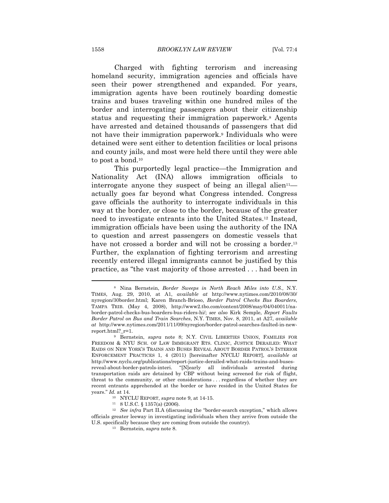Charged with fighting terrorism and increasing homeland security, immigration agencies and officials have seen their power strengthened and expanded. For years, immigration agents have been routinely boarding domestic trains and buses traveling within one hundred miles of the border and interrogating passengers about their citizenship status and requesting their immigration paperwork.8 Agents have arrested and detained thousands of passengers that did not have their immigration paperwork.9 Individuals who were detained were sent either to detention facilities or local prisons and county jails, and most were held there until they were able to post a bond.10

This purportedly legal practice—the Immigration and Nationality Act (INA) allows immigration officials to interrogate anyone they suspect of being an illegal alien<sup>11</sup> actually goes far beyond what Congress intended. Congress gave officials the authority to interrogate individuals in this way at the border, or close to the border, because of the greater need to investigate entrants into the United States.12 Instead, immigration officials have been using the authority of the INA to question and arrest passengers on domestic vessels that have not crossed a border and will not be crossing a border.<sup>13</sup> Further, the explanation of fighting terrorism and arresting recently entered illegal immigrants cannot be justified by this practice, as "the vast majority of those arrested . . . had been in

<sup>8</sup> Nina Bernstein, *Border Sweeps in North Reach Miles into U.S.*, N.Y. TIMES, Aug. 29, 2010, at A1, *available at* http://www.nytimes.com/2010/08/30/ nyregion/30border.html; Karen Branch-Brioso, *Border Patrol Checks Bus Boarders*, TAMPA TRIB. (May 4, 2008), http://www2.tbo.com/content/2008/may/04/040011/naborder-patrol-checks-bus-boarders-bus-riders-hi/; *see also* Kirk Semple, *Report Faults Border Patrol on Bus and Train Searches*, N.Y. TIMES, Nov. 8, 2011, at A27, *available at* http://www.nytimes.com/2011/11/09/nyregion/border-patrol-searches-faulted-in-newreport.html?\_r=1. 9 Bernstein, *supra* note 8; N.Y. CIVIL LIBERTIES UNION, FAMILIES FOR

FREEDOM & NYU SCH. OF LAW IMMIGRANT RTS. CLINIC, JUSTICE DERAILED: WHAT RAIDS ON NEW YORK'S TRAINS AND BUSES REVEAL ABOUT BORDER PATROL'S INTERIOR ENFORCEMENT PRACTICES 1, 4 (2011) [hereinafter NYCLU REPORT], *available at*  http://www.nyclu.org/publications/report-justice-derailed-what-raids-trains-and-busesreveal-about-border-patrols-interi. "[N]early all individuals arrested during transportation raids are detained by CBP without being screened for risk of flight, threat to the community, or other considerations . . . regardless of whether they are recent entrants apprehended at the border or have resided in the United States for years." *Id.* at 14.

<sup>10</sup> NYCLU REPORT, *supra* note 9, at 14-15. 11 8 U.S.C. § 1357(a) (2006).

<sup>12</sup> *See infra* Part II.A (discussing the "border-search exception," which allows officials greater leeway in investigating individuals when they arrive from outside the U.S. specifically because they are coming from outside the country). 13 Bernstein, *supra* note 8.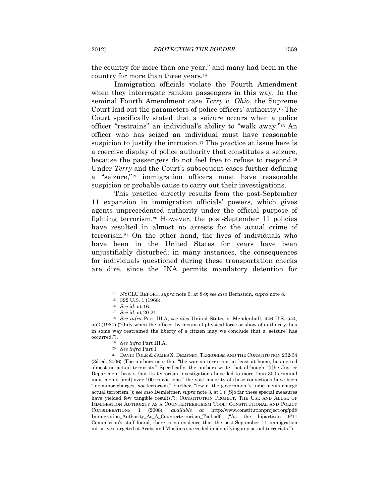the country for more than one year," and many had been in the country for more than three years.14

Immigration officials violate the Fourth Amendment when they interrogate random passengers in this way. In the seminal Fourth Amendment case *Terry v. Ohio*, the Supreme Court laid out the parameters of police officers' authority.15 The Court specifically stated that a seizure occurs when a police officer "restrains" an individual's ability to "walk away."16 An officer who has seized an individual must have reasonable suspicion to justify the intrusion.<sup>17</sup> The practice at issue here is a coercive display of police authority that constitutes a seizure, because the passengers do not feel free to refuse to respond.18 Under *Terry* and the Court's subsequent cases further defining a "seizure,"19 immigration officers must have reasonable suspicion or probable cause to carry out their investigations.

This practice directly results from the post-September 11 expansion in immigration officials' powers, which gives agents unprecedented authority under the official purpose of fighting terrorism.20 However, the post-September 11 policies have resulted in almost no arrests for the actual crime of terrorism.21 On the other hand, the lives of individuals who have been in the United States for years have been unjustifiably disturbed; in many instances, the consequences for individuals questioned during these transportation checks are dire, since the INA permits mandatory detention for

 $\overline{a}$ 

(3d ed. 2006) (The authors note that "the war on terrorism, at least at home, has netted almost no actual terrorists." Specifically, the authors write that although "[t]he Justice Department boasts that its terrorism investigations have led to more than 300 criminal indictments [and] over 100 convictions," the vast majority of those convictions have been "for minor charges, *not* terrorism." Further, "few of the government's indictments charge actual terrorism."); s*ee also* Demleitner, *supra* note 3, at 1 ("[S]o far these special measures have yielded few tangible results."); CONSTITUTION PROJECT, THE USE AND ABUSE OF IMMIGRATION AUTHORITY AS A COUNTERTERRORISM TOOL: CONSTITUTIONAL AND POLICY CONSIDERATIONS 1 (2008), *available at* http://www.constitutionproject.org/pdf/ Immigration\_Authority\_As\_A\_Counterterrorism\_Tool.pdf ("As the bipartisan 9/11 Commission's staff found, there is no evidence that the post-September 11 immigration initiatives targeted at Arabs and Muslims succeeded in identifying any actual terrorists.").

<sup>14</sup> NYCLU REPORT, *supra* note 9, at 8-9; *see also* Bernstein, *supra* note 8. 15 392 U.S. 1 (1968).

<sup>&</sup>lt;sup>17</sup> See id. at 20-21.

<sup>18</sup> *See infra* Part III.A; *see also* United States v. Mendenhall, 446 U.S. 544, 552 (1980) ("Only when the officer, by means of physical force or show of authority, has in some way restrained the liberty of a citizen may we conclude that a 'seizure' has occurred.").<br><sup>19</sup> See infra Part III.A.<br><sup>20</sup> See infra Part I.<br><sup>21</sup> DAVID COLE & JAMES X. DEMPSEY, TERRORISM AND THE CONSTITUTION 232-34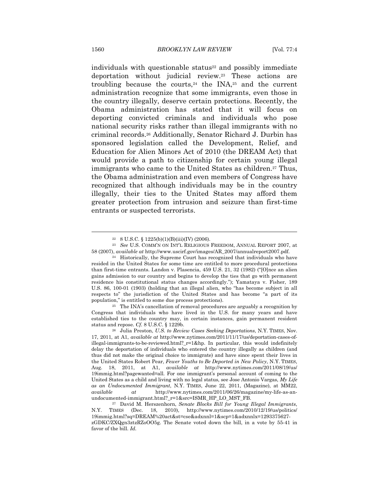individuals with questionable status $22$  and possibly immediate deportation without judicial review.23 These actions are troubling because the courts,<sup>24</sup> the INA,<sup>25</sup> and the current administration recognize that some immigrants, even those in the country illegally, deserve certain protections. Recently, the Obama administration has stated that it will focus on deporting convicted criminals and individuals who pose national security risks rather than illegal immigrants with no criminal records.26 Additionally, Senator Richard J. Durbin has sponsored legislation called the Development, Relief, and Education for Alien Minors Act of 2010 (the DREAM Act) that would provide a path to citizenship for certain young illegal immigrants who came to the United States as children.<sup>27</sup> Thus, the Obama administration and even members of Congress have recognized that although individuals may be in the country illegally, their ties to the United States may afford them greater protection from intrusion and seizure than first-time entrants or suspected terrorists.

<sup>25</sup> The INA's cancellation of removal procedures are arguably a recognition by Congress that individuals who have lived in the U.S. for many years and have established ties to the country may, in certain instances, gain permanent resident status and repose. *Cf.* 8 U.S.C. § 1229b. 26 Julia Preston, *U.S. to Review Cases Seeking Deportations*, N.Y. TIMES, Nov.

 $22 \quad 8 \text{ U.S.C.} \$   $1225(b)(1)(B)(iii)(IV)$  (2006).

<sup>23</sup> *See* U.S. COMM'N ON INT'L RELIGIOUS FREEDOM, ANNUAL REPORT 2007, at 58 (2007), *available at* http://www.uscirf.gov/images/AR\_2007/annualreport2007.pdf. 24 Historically, the Supreme Court has recognized that individuals who have

resided in the United States for some time are entitled to more procedural protections than first-time entrants. Landon v. Plasencia, 459 U.S. 21, 32 (1982) ("[O]nce an alien gains admission to our country and begins to develop the ties that go with permanent residence his constitutional status changes accordingly."); Yamataya v. Fisher, 189 U.S. 86, 100-01 (1903) (holding that an illegal alien, who "has become subject in all respects to" the jurisdiction of the United States and has become "a part of its population," is entitled to some due process protections).

<sup>17, 2011,</sup> at A1, *available at* http://www.nytimes.com/2011/11/17/us/deportation-cases-ofillegal-immigrants-to-be-reviewed.html?\_r=1&hp. In particular, this would indefinitely delay the deportation of individuals who entered the country illegally as children (and thus did not make the original choice to immigrate) and have since spent their lives in the United States Robert Pear, *Fewer Youths to Be Deported in New Policy*, N.Y. TIMES, Aug. 18, 2011, at A1, *available at* http://www.nytimes.com/2011/08/19/us/ 19immig.html?pagewanted=all. For one immigrant's personal account of coming to the United States as a child and living with no legal status, see Jose Antonio Vargas, *My Life as an Undocumented Immigrant*, N.Y. TIMES, June 22, 2011, (Magazine), at MM22, *available at* http://www.nytimes.com/2011/06/26/magazine/my-life-as-an-

<sup>&</sup>lt;sup>27</sup> David M. Herszenhorn, *Senate Blocks Bill for Young Illegal Immigrants*, N.Y. TIMES (Dec. 18, 2010), http://www.nytimes.com/2010/12/19/us/politics/ 19immig.html?sq=DREAM%20act&st=cse&adxnnl=1&scp=1&adxnnlx=1293375627 zGDKC/ZXQgn3ztzRZoOO5g. The Senate voted down the bill, in a vote by 55-41 in favor of the bill. *Id.*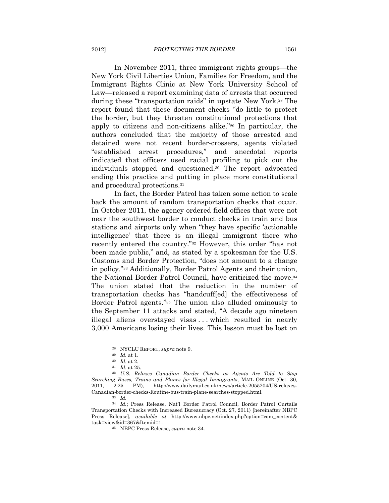In November 2011, three immigrant rights groups—the New York Civil Liberties Union, Families for Freedom, and the Immigrant Rights Clinic at New York University School of Law—released a report examining data of arrests that occurred during these "transportation raids" in upstate New York.28 The report found that these document checks "do little to protect the border, but they threaten constitutional protections that apply to citizens and non-citizens alike."29 In particular, the authors concluded that the majority of those arrested and detained were not recent border-crossers, agents violated "established arrest procedures," and anecdotal reports indicated that officers used racial profiling to pick out the individuals stopped and questioned.30 The report advocated ending this practice and putting in place more constitutional and procedural protections.31

In fact, the Border Patrol has taken some action to scale back the amount of random transportation checks that occur. In October 2011, the agency ordered field offices that were not near the southwest border to conduct checks in train and bus stations and airports only when "they have specific 'actionable intelligence' that there is an illegal immigrant there who recently entered the country."32 However, this order "has not been made public," and, as stated by a spokesman for the U.S. Customs and Border Protection, "does not amount to a change in policy."33 Additionally, Border Patrol Agents and their union, the National Border Patrol Council, have criticized the move.34 The union stated that the reduction in the number of transportation checks has "handcuff[ed] the effectiveness of Border Patrol agents."35 The union also alluded ominously to the September 11 attacks and stated, "A decade ago nineteen illegal aliens overstayed visas . . . which resulted in nearly 3,000 Americans losing their lives. This lesson must be lost on

<sup>28</sup> NYCLU REPORT, *supra* note 9. 29 *Id.* at 1. 30 *Id.* at 2. 31 *Id.* at 25. 32 *U.S. Relaxes Canadian Border Checks as Agents Are Told to Stop Searching Buses, Trains and Planes for Illegal Immigrants*, MAIL ONLINE (Oct. 30, 2011, 2:25 PM), http://www.dailymail.co.uk/news/article-2055204/US-relaxes-Canadian-border-checks-Routine-bus-train-plane-searches-stopped.html. 33 *Id.*

<sup>34</sup> *Id.*; Press Release, Nat'l Border Patrol Council, Border Patrol Curtails Transportation Checks with Increased Bureaucracy (Oct. 27, 2011) [hereinafter NBPC Press Release], *available at* http://www.nbpc.net/index.php?option=com\_content& task=view&id=367&Itemid=1. 35 NBPC Press Release, *supra* note 34*.*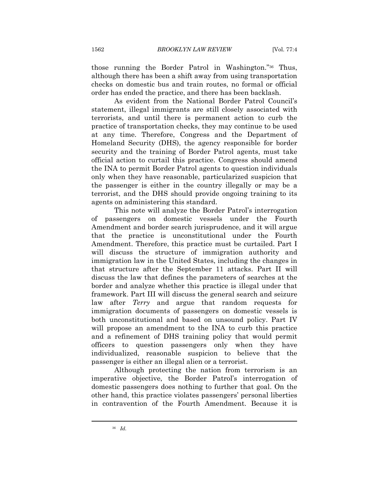those running the Border Patrol in Washington."36 Thus, although there has been a shift away from using transportation checks on domestic bus and train routes, no formal or official order has ended the practice, and there has been backlash.

As evident from the National Border Patrol Council's statement, illegal immigrants are still closely associated with terrorists, and until there is permanent action to curb the practice of transportation checks, they may continue to be used at any time. Therefore, Congress and the Department of Homeland Security (DHS), the agency responsible for border security and the training of Border Patrol agents, must take official action to curtail this practice. Congress should amend the INA to permit Border Patrol agents to question individuals only when they have reasonable, particularized suspicion that the passenger is either in the country illegally or may be a terrorist, and the DHS should provide ongoing training to its agents on administering this standard.

This note will analyze the Border Patrol's interrogation of passengers on domestic vessels under the Fourth Amendment and border search jurisprudence, and it will argue that the practice is unconstitutional under the Fourth Amendment. Therefore, this practice must be curtailed. Part I will discuss the structure of immigration authority and immigration law in the United States, including the changes in that structure after the September 11 attacks. Part II will discuss the law that defines the parameters of searches at the border and analyze whether this practice is illegal under that framework. Part III will discuss the general search and seizure law after *Terry* and argue that random requests for immigration documents of passengers on domestic vessels is both unconstitutional and based on unsound policy. Part IV will propose an amendment to the INA to curb this practice and a refinement of DHS training policy that would permit officers to question passengers only when they have individualized, reasonable suspicion to believe that the passenger is either an illegal alien or a terrorist.

Although protecting the nation from terrorism is an imperative objective, the Border Patrol's interrogation of domestic passengers does nothing to further that goal. On the other hand, this practice violates passengers' personal liberties in contravention of the Fourth Amendment. Because it is

<sup>36</sup> *Id.*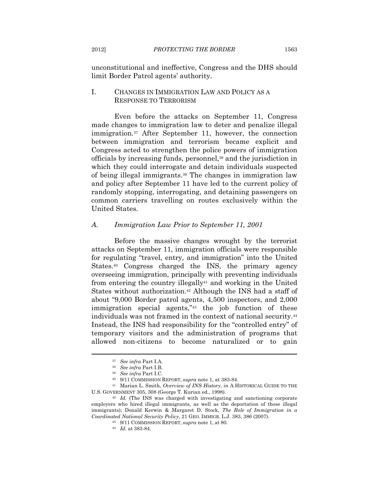unconstitutional and ineffective, Congress and the DHS should limit Border Patrol agents' authority.

#### I. CHANGES IN IMMIGRATION LAW AND POLICY AS A RESPONSE TO TERRORISM

Even before the attacks on September 11, Congress made changes to immigration law to deter and penalize illegal immigration.37 After September 11, however, the connection between immigration and terrorism became explicit and Congress acted to strengthen the police powers of immigration officials by increasing funds, personnel,38 and the jurisdiction in which they could interrogate and detain individuals suspected of being illegal immigrants.39 The changes in immigration law and policy after September 11 have led to the current policy of randomly stopping, interrogating, and detaining passengers on common carriers travelling on routes exclusively within the United States.

#### *A. Immigration Law Prior to September 11, 2001*

Before the massive changes wrought by the terrorist attacks on September 11, immigration officials were responsible for regulating "travel, entry, and immigration" into the United States.40 Congress charged the INS, the primary agency overseeing immigration, principally with preventing individuals from entering the country illegally41 and working in the United States without authorization.<sup>42</sup> Although the INS had a staff of about "9,000 Border patrol agents, 4,500 inspectors, and 2,000 immigration special agents,"43 the job function of these individuals was not framed in the context of national security.44 Instead, the INS had responsibility for the "controlled entry" of temporary visitors and the administration of programs that allowed non-citizens to become naturalized or to gain

<sup>&</sup>lt;sup>37</sup> See infra Part I.A.<br><sup>38</sup> See infra Part I.B.<br><sup>39</sup> See infra Part I.C.<br><sup>40</sup> 9/11 COMMISSION REPORT, *supra* note 1, at 383-84.<br><sup>41</sup> Marian L. Smith, *Overview of INS History*, *in* A HISTORICAL GUIDE TO THE U.S. GOVERNMENT 305, 308 (George T. Kurian ed., 1998). 42 *Id.* (The INS was charged with investigating and sanctioning corporate

employers who hired illegal immigrants, as well as the deportation of those illegal immigrants); Donald Kerwin & Margaret D. Stock, *The Role of Immigration in a Coordinated National Security Policy*, 21 GEO. IMMIGR. L.J. 383, 386 (2007). 43 9/11 COMMISSION REPORT, *supra* note 1, at 80. 44 *Id.* at 383-84.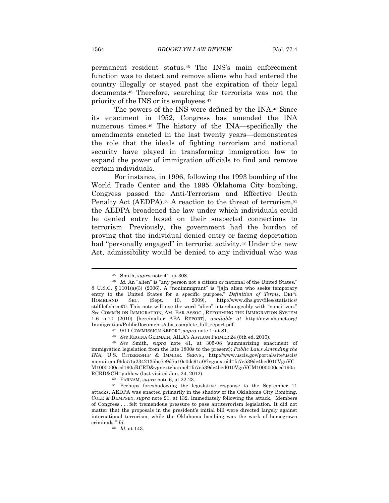permanent resident status.45 The INS's main enforcement function was to detect and remove aliens who had entered the country illegally or stayed past the expiration of their legal documents.46 Therefore, searching for terrorists was not the priority of the INS or its employees.47

The powers of the INS were defined by the INA.48 Since its enactment in 1952, Congress has amended the INA numerous times.49 The history of the INA—specifically the amendments enacted in the last twenty years—demonstrates the role that the ideals of fighting terrorism and national security have played in transforming immigration law to expand the power of immigration officials to find and remove certain individuals.

For instance, in 1996, following the 1993 bombing of the World Trade Center and the 1995 Oklahoma City bombing, Congress passed the Anti-Terrorism and Effective Death Penalty Act (AEDPA).<sup>50</sup> A reaction to the threat of terrorism,<sup>51</sup> the AEDPA broadened the law under which individuals could be denied entry based on their suspected connections to terrorism. Previously, the government had the burden of proving that the individual denied entry or facing deportation had "personally engaged" in terrorist activity.<sup>52</sup> Under the new Act, admissibility would be denied to any individual who was

<sup>&</sup>lt;sup>45</sup> Smith, *supra* note 41, at 308.<br><sup>46</sup> Id. An "alien" is "any person not a citizen or national of the United States." 8 U.S.C. § 1101(a)(3) (2006). A "nonimmigrant" is "[a]n alien who seeks temporary entry to the United States for a specific purpose." *Definition of Terms*, DEP'T HOMELAND SEC. (Sept. 10, 2009), http://www.dhs.gov/files/statistics/ stdfdef.shtm#0. This note will use the word "alien" interchangeably with "noncitizen." *See* COMM'N ON IMMIGRATION, AM. BAR ASSOC., REFORMING THE IMMIGRATION SYSTEM 1-6 n.10 (2010) [hereinafter ABA REPORT], *available at* http://new.abanet.org/ Immigration/PublicDocuments/aba\_complete\_full\_report.pdf.<br><sup>47</sup> 9/11 COMMISSION REPORT, *supra* note 1, at 81.<br><sup>48</sup> See REGINA GERMAIN, AILA'S ASYLUM PRIMER 24 (6th ed. 2010).<br><sup>49</sup> See Smith, *supra* note 41, at 305-08 (sum

immigration legislation from the late 1800s to the present); *Public Laws Amending the INA*, U.S. CITIZENSHIP & IMMIGR. SERVS., http://www.uscis.gov/portal/site/uscis/ menuitem.f6da51a2342135be7e9d7a10e0dc91a0/?vgnextoid=fa7e539dc4bed010VgnVC M1000000ecd190aRCRD&vgnextchannel=fa7e539dc4bed010VgnVCM1000000ecd190a RCRD&CH=publaw (last visited Jan. 24, 2012).<br><sup>50</sup> FARNAM, *supra* note 6, at 22-23.<br><sup>51</sup> Perhaps foreshadowing the legislative response to the September 11

attacks, AEDPA was enacted primarily in the shadow of the Oklahoma City Bombing. COLE & DEMPSEY, *supra* note 21, at 132. Immediately following the attack, "Members of Congress . . . felt tremendous pressure to pass antiterrorism legislation. It did not matter that the proposals in the president's initial bill were directed largely against international terrorism, while the Oklahoma bombing was the work of homegrown criminals." *Id.*

<sup>52</sup> *Id.* at 143.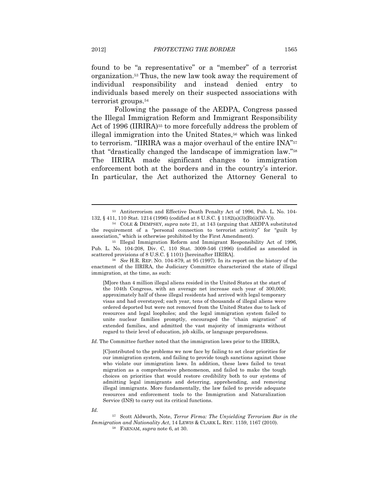found to be "a representative" or a "member" of a terrorist organization.53 Thus, the new law took away the requirement of individual responsibility and instead denied entry to individuals based merely on their suspected associations with terrorist groups.54

Following the passage of the AEDPA, Congress passed the Illegal Immigration Reform and Immigrant Responsibility Act of 1996 (IIRIRA)<sup>55</sup> to more forcefully address the problem of illegal immigration into the United States,<sup>56</sup> which was linked to terrorism. "IIRIRA was a major overhaul of the entire INA"57 that "drastically changed the landscape of immigration law."58 The IIRIRA made significant changes to immigration enforcement both at the borders and in the country's interior. In particular, the Act authorized the Attorney General to

<sup>53</sup> Antiterrorism and Effective Death Penalty Act of 1996, Pub. L. No. 104- 132, § 411, 110 Stat. 1214 (1996) (codified at 8 U.S.C. § 1182(a)(3)(B)(i)(IV-V)). 54 COLE & DEMPSEY, *supra* note 21, at 143 (arguing that AEDPA substituted

the requirement of a "personal connection to terrorist activity" for "guilt by association," which is otherwise prohibited by the First Amendment). 55 Illegal Immigration Reform and Immigrant Responsibility Act of 1996,

Pub. L. No. 104-208, Div. C, 110 Stat. 3009-546 (1996) (codified as amended in scattered provisions of 8 U.S.C. § 1101) [hereinafter IIRIRA]. 56 *See* H.R. REP. NO. 104-879, at 95 (1997). In its report on the history of the

enactment of the IIRIRA, the Judiciary Committee characterized the state of illegal immigration, at the time, as such:

<sup>[</sup>M]ore than 4 million illegal aliens resided in the United States at the start of the 104th Congress, with an average net increase each year of 300,000; approximately half of these illegal residents had arrived with legal temporary visas and had overstayed; each year, tens of thousands of illegal aliens were ordered deported but were not removed from the United States due to lack of resources and legal loopholes; and the legal immigration system failed to unite nuclear families promptly, encouraged the "chain migration" of extended families, and admitted the vast majority of immigrants without regard to their level of education, job skills, or language preparedness.

*Id.* The Committee further noted that the immigration laws prior to the IIRIRA,

<sup>[</sup>C]ontributed to the problems we now face by failing to set clear priorities for our immigration system, and failing to provide tough sanctions against those who violate our immigration laws. In addition, these laws failed to treat migration as a comprehensive phenomenon, and failed to make the tough choices on priorities that would restore credibility both to our systems of admitting legal immigrants and deterring, apprehending, and removing illegal immigrants. More fundamentally, the law failed to provide adequate resources and enforcement tools to the Immigration and Naturalization Service (INS) to carry out its critical functions.

*Id.* 

<sup>57</sup> Scott Aldworth, Note, *Terror Firma: The Unyielding Terrorism Bar in the Immigration and Nationality Act*, 14 LEWIS & CLARK L. REV. 1159, 1167 (2010). 58 FARNAM, *supra* note 6, at 30.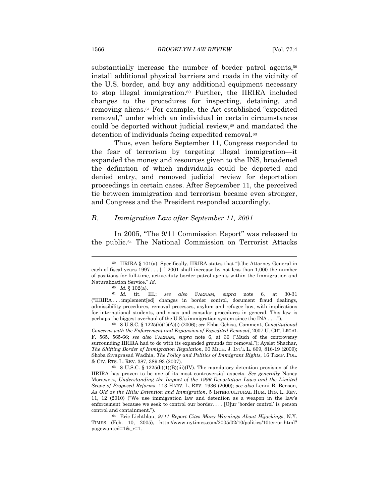substantially increase the number of border patrol agents,<sup>59</sup> install additional physical barriers and roads in the vicinity of the U.S. border, and buy any additional equipment necessary to stop illegal immigration.60 Further, the IIRIRA included changes to the procedures for inspecting, detaining, and removing aliens.61 For example, the Act established "expedited removal," under which an individual in certain circumstances could be deported without judicial review,<sup>62</sup> and mandated the detention of individuals facing expedited removal.63

Thus, even before September 11, Congress responded to the fear of terrorism by targeting illegal immigration—it expanded the money and resources given to the INS, broadened the definition of which individuals could be deported and denied entry, and removed judicial review for deportation proceedings in certain cases. After September 11, the perceived tie between immigration and terrorism became even stronger, and Congress and the President responded accordingly.

#### *B. Immigration Law after September 11, 2001*

In 2005, "The 9/11 Commission Report" was released to the public.64 The National Commission on Terrorist Attacks

<sup>59</sup> IIRIRA § 101(a). Specifically, IIRIRA states that "[t]he Attorney General in each of fiscal years  $1997...[-] 2001$  shall increase by not less than 1,000 the number of positions for full-time, active-duty border patrol agents within the Immigration and Naturalization Service." *Id.* 60 *Id.* § 102(a). 61 *Id.* tit. III*.*; *see also* FARNAM, *supra* note 6, at 30-31

<sup>(&</sup>quot;IIRIRA . . . implement[ed] changes in border control, document fraud dealings, admissibility procedures, removal processes, asylum and refugee law, with implications for international students, and visas and consular procedures in general. This law is perhaps the biggest overhaul of the U.S.'s immigration system since the INA . . . ."). 62 8 U.S.C. § 1225(b)(1)(A)(i) (2006); *see* Ebba Gebisa, Comment, *Constitutional* 

*Concerns with the Enforcement and Expansion of Expedited Removal*, 2007 U. CHI. LEGAL F. 565, 565-66; *see also* FARNAM, *supra* note 6, at 36 ("Much of the controversy surrounding IIRIRA had to do with its expanded grounds for removal."); Ayelet Shachar, *The Shifting Border of Immigration Regulation*, 30 MICH. J. INT'L L. 809, 816-19 (2009); Shoba Sivaprasad Wadhia, *The Policy and Politics of Immigrant Rights*, 16 TEMP. POL. & CIV. RTS. L. REV. 387, 389-93 (2007).<br><sup>63</sup> 8 U.S.C. § 1225(b)(1)(B)(iii)(IV). The mandatory detention provision of the

IIRIRA has proven to be one of its most controversial aspects. *See generally* Nancy Morawetz, *Understanding the Impact of the 1996 Deportation Laws and the Limited Scope of Proposed Reforms*, 113 HARV. L. REV. 1936 (2000); *see also* Lenni B. Benson, *As Old as the Hills: Detention and Immigration*, 5 INTERCULTURAL HUM. RTS. L. REV. 11, 12 (2010) ("We use immigration law and detention as a weapon in the law's enforcement because we seek to control our border. . . . [O]ur 'border control' is person control and containment."). 64 Eric Lichtblau, *9/11 Report Cites Many Warnings About Hijackings*, N.Y.

TIMES (Feb. 10, 2005), http://www.nytimes.com/2005/02/10/politics/10terror.html? pagewanted=1&\_r=1.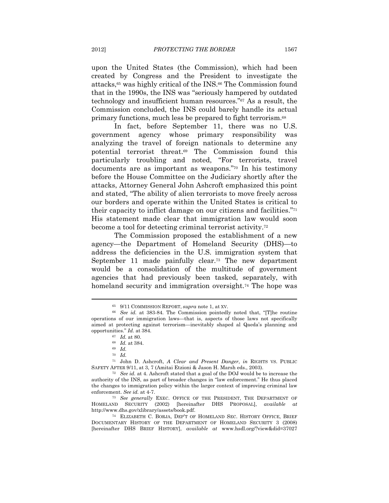upon the United States (the Commission), which had been created by Congress and the President to investigate the attacks,65 was highly critical of the INS.66 The Commission found that in the 1990s, the INS was "seriously hampered by outdated technology and insufficient human resources."67 As a result, the Commission concluded, the INS could barely handle its actual primary functions, much less be prepared to fight terrorism.68

In fact, before September 11, there was no U.S. government agency whose primary responsibility was analyzing the travel of foreign nationals to determine any potential terrorist threat.69 The Commission found this particularly troubling and noted, "For terrorists, travel documents are as important as weapons."70 In his testimony before the House Committee on the Judiciary shortly after the attacks, Attorney General John Ashcroft emphasized this point and stated, "The ability of alien terrorists to move freely across our borders and operate within the United States is critical to their capacity to inflict damage on our citizens and facilities."71 His statement made clear that immigration law would soon become a tool for detecting criminal terrorist activity.72

The Commission proposed the establishment of a new agency—the Department of Homeland Security (DHS)—to address the deficiencies in the U.S. immigration system that September 11 made painfully clear.73 The new department would be a consolidation of the multitude of government agencies that had previously been tasked, separately, with homeland security and immigration oversight.<sup>74</sup> The hope was

<sup>65 9/11</sup> COMMISSION REPORT, *supra* note 1, at XV. 66 *See id.* at 383-84. The Commission pointedly noted that, "[T]he routine operations of our immigration laws—that is, aspects of those laws not specifically aimed at protecting against terrorism—inevitably shaped al Qaeda's planning and opportunities." *Id.* at 384. 67 *Id.* at 80. 68 *Id.* at 384. 69 *Id.*

<sup>70</sup> *Id.*

<sup>71</sup> John D. Ashcroft, *A Clear and Present Danger*, *in* RIGHTS VS. PUBLIC SAFETY AFTER 9/11, at 3, 7 (Amitai Etzioni & Jason H. Marsh eds., 2003). 72 *See id.* at 4. Ashcroft stated that a goal of the DOJ would be to increase the

authority of the INS, as part of broader changes in "law enforcement." He thus placed the changes to immigration policy within the larger context of improving criminal law enforcement. *See id.* at 4-7.<br><sup>73</sup> *See generally* EXEC. OFFICE OF THE PRESIDENT, THE DEPARTMENT OF

HOMELAND SECURITY (2002) [hereinafter DHS PROPOSAL], *available at* http://www.dhs.gov/xlibrary/assets/book.pdf. 74 ELIZABETH C. BORJA, DEP'T OF HOMELAND SEC. HISTORY OFFICE, BRIEF

DOCUMENTARY HISTORY OF THE DEPARTMENT OF HOMELAND SECURITY 3 (2008) [hereinafter DHS BRIEF HISTORY], *available at* www.hsdl.org/?view&did=37027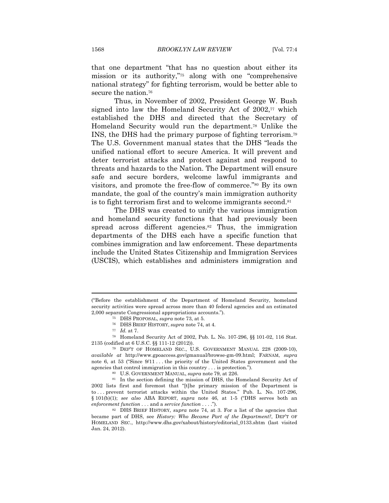that one department "that has no question about either its mission or its authority,"75 along with one "comprehensive national strategy" for fighting terrorism, would be better able to secure the nation.<sup>76</sup>

Thus, in November of 2002, President George W. Bush signed into law the Homeland Security Act of  $2002$ ,<sup> $\pi$ </sup> which established the DHS and directed that the Secretary of Homeland Security would run the department.78 Unlike the INS, the DHS had the primary purpose of fighting terrorism.79 The U.S. Government manual states that the DHS "leads the unified national effort to secure America. It will prevent and deter terrorist attacks and protect against and respond to threats and hazards to the Nation. The Department will ensure safe and secure borders, welcome lawful immigrants and visitors, and promote the free-flow of commerce."80 By its own mandate, the goal of the country's main immigration authority is to fight terrorism first and to welcome immigrants second.<sup>81</sup>

The DHS was created to unify the various immigration and homeland security functions that had previously been spread across different agencies.<sup>82</sup> Thus, the immigration departments of the DHS each have a specific function that combines immigration and law enforcement. These departments include the United States Citizenship and Immigration Services (USCIS), which establishes and administers immigration and

<sup>(&</sup>quot;Before the establishment of the Department of Homeland Security, homeland security activities were spread across more than 40 federal agencies and an estimated 2,000 separate Congressional appropriations accounts.").<br>
<sup>75</sup> DHS PROPOSAL, *supra* note 73, at 5.<br>
<sup>76</sup> DHS BRIEF HISTORY, *supra* note 74, at 4.<br>
<sup>77</sup> Id. at 7.<br>
<sup>78</sup> Homeland Security Act of 2002, Pub. L. No. 107-296,

<sup>2135 (</sup>codified at 6 U.S.C. §§ 111-12 (2012)). 79 DEP'T OF HOMELAND SEC., U.S. GOVERNMENT MANUAL 228 (2009-10),

*available at* http://www.gpoaccess.gov/gmanual/browse-gm-09.html; FARNAM, *supra*  note 6, at 53 ("Since  $9/11$ ... the priority of the United States government and the agencies that control immigration in this country... is protection.").

<sup>&</sup>lt;sup>80</sup> U.S. GOVERNMENT MANUAL, *supra* note 79, at 226. 81 In the section defining the mission of DHS, the Homeland Security Act of 2002 lists first and foremost that "[t]he primary mission of the Department is to . . . prevent terrorist attacks within the United States." Pub. L. No. 107-296, § 101(b)(1); *see also* ABA REPORT, *supra* note 46, at 1-5 ("DHS serves both an *enforcement function* . . . and a *service function* . . . ."). 82 DHS BRIEF HISTORY, *supra* note 74, at 3. For a list of the agencies that

became part of DHS, see *History: Who Became Part of the Department?*, DEP'T OF HOMELAND SEC., http://www.dhs.gov/xabout/history/editorial\_0133.shtm (last visited Jan. 24, 2012).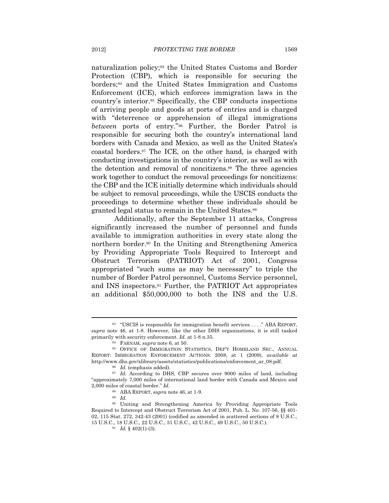naturalization policy;83 the United States Customs and Border Protection (CBP), which is responsible for securing the borders;84 and the United States Immigration and Customs Enforcement (ICE), which enforces immigration laws in the country's interior.85 Specifically, the CBP conducts inspections of arriving people and goods at ports of entries and is charged with "deterrence or apprehension of illegal immigrations" *between* ports of entry."86 Further, the Border Patrol is responsible for securing both the country's international land borders with Canada and Mexico, as well as the United States's coastal borders.87 The ICE, on the other hand, is charged with conducting investigations in the country's interior, as well as with the detention and removal of noncitizens.88 The three agencies work together to conduct the removal proceedings for noncitizens: the CBP and the ICE initially determine which individuals should be subject to removal proceedings, while the USCIS conducts the proceedings to determine whether these individuals should be granted legal status to remain in the United States.89

Additionally, after the September 11 attacks, Congress significantly increased the number of personnel and funds available to immigration authorities in every state along the northern border.90 In the Uniting and Strengthening America by Providing Appropriate Tools Required to Intercept and Obstruct Terrorism (PATRIOT) Act of 2001, Congress appropriated "such sums as may be necessary" to triple the number of Border Patrol personnel, Customs Service personnel, and INS inspectors.91 Further, the PATRIOT Act appropriates an additional \$50,000,000 to both the INS and the U.S.

<sup>83 &</sup>quot;USCIS is responsible for immigration benefit services . . . ." ABA REPORT, *supra* note 46, at 1-8. However, like the other DHS organizations, it is still tasked primarily with security enforcement. *Id.* at 1-8 n.35.<br><sup>84</sup> FARNAM, *supra* note 6, at 50.<br><sup>85</sup> OFFICE OF IMMIGRATION STATISTICS, DEP'T HOMELAND SEC., ANNUAL

REPORT: IMMIGRATION ENFORCEMENT ACTIONS: 2008, at 1 (2009), *available at* http://www.dhs.gov/xlibrary/assets/statistics/publications/enforcement\_ar\_08.pdf.<br><sup>86</sup> *Id.* (emphasis added).<br><sup>87</sup> *Id.* According to DHS, CBP secures over 9000 miles of land, including

<sup>&</sup>quot;approximately 7,000 miles of international land border with Canada and Mexico and 2,000 miles of coastal border." *Id.*

<sup>&</sup>lt;sup>88</sup> ABA REPORT, *supra* note 46, at 1-9.<br><sup>89</sup> *Id.* 90 Uniting and Strengthening America by Providing Appropriate Tools Required to Intercept and Obstruct Terrorism Act of 2001, Pub. L. No. 107-56, §§ 401- 02, 115 Stat. 272, 342-43 (2001) (codified as amended in scattered sections of 8 U.S.C.,  $15$  U.S.C.,  $18$  U.S.C.,  $22$  U.S.C.,  $31$  U.S.C.,  $42$  U.S.C.,  $49$  U.S.C.,  $50$  U.S.C.).  $^{91}$   $Id.$   $\S$   $402(1)\mbox{-}(3).$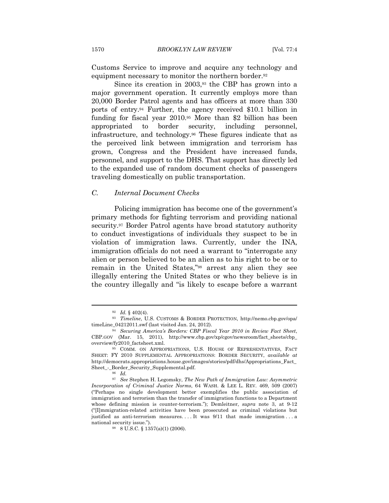Customs Service to improve and acquire any technology and equipment necessary to monitor the northern border.<sup>92</sup>

Since its creation in 2003,93 the CBP has grown into a major government operation. It currently employs more than 20,000 Border Patrol agents and has officers at more than 330 ports of entry.94 Further, the agency received \$10.1 billion in funding for fiscal year 2010.95 More than \$2 billion has been appropriated to border security, including personnel, infrastructure, and technology.96 These figures indicate that as the perceived link between immigration and terrorism has grown, Congress and the President have increased funds, personnel, and support to the DHS. That support has directly led to the expanded use of random document checks of passengers traveling domestically on public transportation.

#### *C. Internal Document Checks*

Policing immigration has become one of the government's primary methods for fighting terrorism and providing national security.97 Border Patrol agents have broad statutory authority to conduct investigations of individuals they suspect to be in violation of immigration laws. Currently, under the INA, immigration officials do not need a warrant to "interrogate any alien or person believed to be an alien as to his right to be or to remain in the United States,"98 arrest any alien they see illegally entering the United States or who they believe is in the country illegally and "is likely to escape before a warrant

<sup>92</sup> *Id.* § 402(4). 93 *Timeline*, U.S. CUSTOMS & BORDER PROTECTION, http://nemo.cbp.gov/opa/ timeLine\_04212011.swf (last visited Jan. 24, 2012). 94 *Securing America's Borders: CBP Fiscal Year 2010 in Review Fact Sheet*,

CBP.GOV (Mar. 15, 2011), http://www.cbp.gov/xp/cgov/newsroom/fact\_sheets/cbp\_ overview/fy2010\_factsheet.xml. 95 COMM. ON APPROPRIATIONS, U.S. HOUSE OF REPRESENTATIVES, FACT

SHEET: FY 2010 SUPPLEMENTAL APPROPRIATIONS: BORDER SECURITY, *available at* http://democrats.appropriations.house.gov/images/stories/pdf/dhs/Appropriations\_Fact\_ Sheet\_-\_Border\_Security\_Supplemental.pdf. 96<sup>9</sup> *Id.* 

<sup>97</sup> *See* Stephen H. Legomsky, *The New Path of Immigration Law: Asymmetric Incorporation of Criminal Justice Norms*, 64 WASH. & LEE L. REV. 469, 509 (2007) ("Perhaps no single development better exemplifies the public association of immigration and terrorism than the transfer of immigration functions to a Department whose defining mission is counter-terrorism."); Demleitner, *supra* note 3, at 9-12 ("[I]mmigration-related activities have been prosecuted as criminal violations but justified as anti-terrorism measures....It was  $9/11$  that made immigration...a national security issue.").<br><sup>98</sup> 8 U.S.C. § 1357(a)(1) (2006).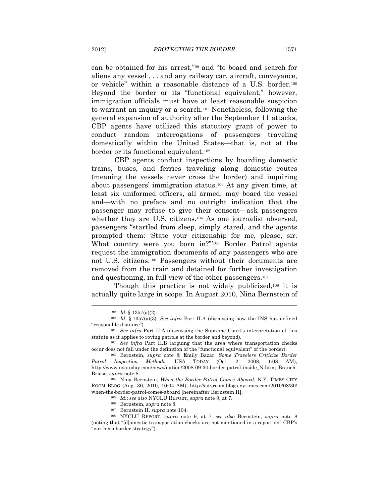can be obtained for his arrest,"99 and "to board and search for aliens any vessel . . . and any railway car, aircraft, conveyance, or vehicle" within a reasonable distance of a U.S. border.100 Beyond the border or its "functional equivalent," however, immigration officials must have at least reasonable suspicion to warrant an inquiry or a search.101 Nonetheless, following the general expansion of authority after the September 11 attacks, CBP agents have utilized this statutory grant of power to conduct random interrogations of passengers traveling domestically within the United States—that is, not at the border or its functional equivalent.102

CBP agents conduct inspections by boarding domestic trains, buses, and ferries traveling along domestic routes (meaning the vessels never cross the border) and inquiring about passengers' immigration status.103 At any given time, at least six uniformed officers, all armed, may board the vessel and—with no preface and no outright indication that the passenger may refuse to give their consent—ask passengers whether they are U.S. citizens.104 As one journalist observed, passengers "startled from sleep, simply stared, and the agents prompted them: 'State your citizenship for me, please, sir. What country were you born in?"<sup>105</sup> Border Patrol agents request the immigration documents of any passengers who are not U.S. citizens.106 Passengers without their documents are removed from the train and detained for further investigation and questioning, in full view of the other passengers.107

Though this practice is not widely publicized,<sup>108</sup> it is actually quite large in scope. In August 2010, Nina Bernstein of

<sup>99</sup> *Id.* § 1357(a)(2). 100 *Id.* § 1357(a)(3). *See infra* Part II.A (discussing how the INS has defined "reasonable distance"). 101 *See infra* Part II.A (discussing the Supreme Court's interpretation of this

statute as it applies to roving patrols at the border and beyond). 102 *See infra* Part II.B (arguing that the area where transportation checks

occur does not fall under the definition of the "functional equivalent" of the border). 103 Bernstein, *supra* note 8; Emily Bazar, *Some Travelers Criticize Border* 

*Patrol Inspection Methods*, USA TODAY (Oct. 2, 2008, 1:08 AM), http://www.usatoday.com/news/nation/2008-09-30-border-patrol-inside\_N.htm; Branch-Brioso, *supra* note 8. 104 Nina Bernstein, *When the Border Patrol Comes Aboard*, N.Y. TIMES CITY

ROOM BLOG (Aug. 30, 2010, 10:04 AM), http://cityroom.blogs.nytimes.com/2010/08/30/ when the border patrol comes aboard [hereinafter Bernstein II].<br>
<sup>105</sup> *Id.*; *see also* NYCLU REPORT, *supra* note 9, at 7.<br>
<sup>106</sup> Bernstein, *supra* note 8.<br>
<sup>107</sup> Bernstein II, *supra* note 104.<br>
<sup>108</sup> NYCLU REPORT, *s* 

<sup>(</sup>noting that "[d]omestic transportation checks are not mentioned in a report on" CBP's "northern border strategy").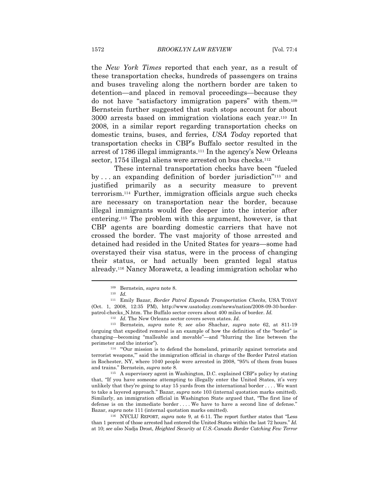the *New York Times* reported that each year, as a result of these transportation checks, hundreds of passengers on trains and buses traveling along the northern border are taken to detention—and placed in removal proceedings—because they do not have "satisfactory immigration papers" with them.109 Bernstein further suggested that such stops account for about 3000 arrests based on immigration violations each year.110 In 2008, in a similar report regarding transportation checks on domestic trains, buses, and ferries, *USA Today* reported that transportation checks in CBP's Buffalo sector resulted in the arrest of 1786 illegal immigrants.111 In the agency's New Orleans sector, 1754 illegal aliens were arrested on bus checks.<sup>112</sup>

These internal transportation checks have been "fueled by . . . an expanding definition of border jurisdiction"113 and justified primarily as a security measure to prevent terrorism.114 Further, immigration officials argue such checks are necessary on transportation near the border, because illegal immigrants would flee deeper into the interior after entering.115 The problem with this argument, however, is that CBP agents are boarding domestic carriers that have not crossed the border. The vast majority of those arrested and detained had resided in the United States for years—some had overstayed their visa status, were in the process of changing their status, or had actually been granted legal status already.116 Nancy Morawetz, a leading immigration scholar who

 $\overline{a}$ 

113 Bernstein, *supra* note 8; *see also* Shachar, *supra* note 62, at 811-19 (arguing that expedited removal is an example of how the definition of the "border" is changing—becoming "malleable and movable"—and "blurring the line between the perimeter and the interior"). <sup>114</sup> "Our mission is to defend the homeland, primarily against terrorists and

terrorist weapons,'" said the immigration official in charge of the Border Patrol station in Rochester, NY, where 1040 people were arrested in 2008, "95% of them from buses and trains." Bernstein, *supra* note 8. 115 A supervisory agent in Washington, D.C. explained CBP's policy by stating

that, "If you have someone attempting to illegally enter the United States, it's very unlikely that they're going to stay 15 yards from the international border . . . . We want to take a layered approach." Bazar, *supra* note 103 (internal quotation marks omitted). Similarly, an immigration official in Washington State argued that, "The first line of defense is on the immediate border . . . . We have to have a second line of defense."

Bazar, *supra* note 111 (internal quotation marks omitted).<br><sup>116</sup> NYCLU REPORT, *supra* note 9, at 6-11. The report further states that "Less" than 1 percent of those arrested had entered the United States within the last 72 hours." *Id.* at 10; *see also* Nadja Drost, *Heighted Security at U.S.-Canada Border Catching Few Terror* 

<sup>109</sup> Bernstein, *supra* note 8. 110 *Id.*

<sup>111</sup> Emily Bazar, *Border Patrol Expands Transportation Checks*, USA TODAY (Oct. 1, 2008, 12:35 PM), http://www.usatoday.com/news/nation/2008-09-30-borderpatrol-checks\_N.htm. The Buffalo sector covers about 400 miles of border. *Id.* 112 *Id.* The New Orleans sector covers seven states. *Id.*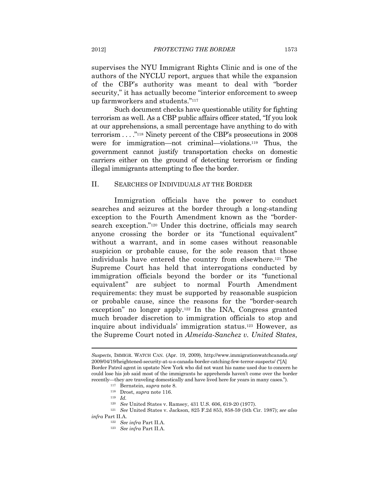supervises the NYU Immigrant Rights Clinic and is one of the authors of the NYCLU report, argues that while the expansion of the CBP's authority was meant to deal with "border security," it has actually become "interior enforcement to sweep up farmworkers and students."117

Such document checks have questionable utility for fighting terrorism as well. As a CBP public affairs officer stated, "If you look at our apprehensions, a small percentage have anything to do with terrorism . . . ."118 Ninety percent of the CBP's prosecutions in 2008 were for immigration—not criminal—violations.119 Thus, the government cannot justify transportation checks on domestic carriers either on the ground of detecting terrorism or finding illegal immigrants attempting to flee the border.

#### II. SEARCHES OF INDIVIDUALS AT THE BORDER

Immigration officials have the power to conduct searches and seizures at the border through a long-standing exception to the Fourth Amendment known as the "bordersearch exception."120 Under this doctrine, officials may search anyone crossing the border or its "functional equivalent" without a warrant, and in some cases without reasonable suspicion or probable cause, for the sole reason that those individuals have entered the country from elsewhere.121 The Supreme Court has held that interrogations conducted by immigration officials beyond the border or its "functional equivalent" are subject to normal Fourth Amendment requirements: they must be supported by reasonable suspicion or probable cause, since the reasons for the "border-search exception" no longer apply.122 In the INA, Congress granted much broader discretion to immigration officials to stop and inquire about individuals' immigration status.123 However, as the Supreme Court noted in *Almeida-Sanchez v. United States*,

*Suspects*, IMMIGR. WATCH CAN. (Apr. 19, 2009), http://www.immigrationwatchcanada.org/ 2009/04/19/heightened-security-at-u-s-canada-border-catching-few-terror-suspects/ ("[A] Border Patrol agent in upstate New York who did not want his name used due to concern he could lose his job said most of the immigrants he apprehends haven't come over the border recently—they are traveling domestically and have lived here for years in many cases."). 117 Bernstein, *supra* note 8. 118 Drost, *supra* note 116. 119 *Id.*

<sup>120</sup> *See* United States v. Ramsey, 431 U.S. 606, 619-20 (1977). 121 *See* United States v. Jackson, 825 F.2d 853, 858-59 (5th Cir. 1987); *see also infra* Part II.A. 122 *See infra* Part II.A. 123 *See infra* Part II.A.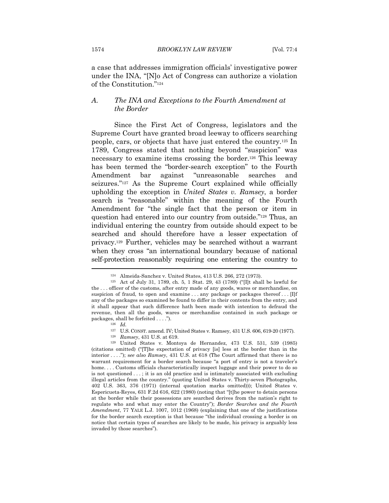a case that addresses immigration officials' investigative power under the INA, "[N]o Act of Congress can authorize a violation of the Constitution."124

#### *A. The INA and Exceptions to the Fourth Amendment at the Border*

Since the First Act of Congress, legislators and the Supreme Court have granted broad leeway to officers searching people, cars, or objects that have just entered the country.125 In 1789, Congress stated that nothing beyond "suspicion" was necessary to examine items crossing the border.126 This leeway has been termed the "border-search exception" to the Fourth Amendment bar against "unreasonable searches and seizures."<sup>127</sup> As the Supreme Court explained while officially upholding the exception in *United States v. Ramsey*, a border search is "reasonable" within the meaning of the Fourth Amendment for "the single fact that the person or item in question had entered into our country from outside."128 Thus, an individual entering the country from outside should expect to be searched and should therefore have a lesser expectation of privacy.129 Further, vehicles may be searched without a warrant when they cross "an international boundary because of national self-protection reasonably requiring one entering the country to

<sup>&</sup>lt;sup>124</sup> Almeida-Sanchez v. United States, 413 U.S. 266, 272 (1973).<br><sup>125</sup> Act of July 31, 1789, ch. 5, 1 Stat. 29, 43 (1789) ("[I]t shall be lawful for the . . . officer of the customs, after entry made of any goods, wares or merchandise, on suspicion of fraud, to open and examine ... any package or packages thereof ... [I]f any of the packages so examined be found to differ in their contents from the entry, and it shall appear that such difference hath been made with intention to defraud the revenue, then all the goods, wares or merchandise contained in such package or packages, shall be forfeited . . . .").<br><sup>126</sup> *Id.* 127 U.S. CONST. amend. IV; United States v. Ramsey, 431 U.S. 606, 619-20 (1977).

<sup>&</sup>lt;sup>128</sup> Ramsey, 431 U.S. at 619.<br><sup>129</sup> United States v. Montoya de Hernandez, 473 U.S. 531, 539 (1985) (citations omitted) ("[T]he expectation of privacy [is] less at the border than in the interior . . . ."); s*ee also Ramsey*, 431 U.S. at 618 (The Court affirmed that there is no warrant requirement for a border search because "a port of entry is not a traveler's home. . . . Customs officials characteristically inspect luggage and their power to do so is not questioned . . . ; it is an old practice and is intimately associated with excluding illegal articles from the country." (quoting United States v. Thirty-seven Photographs, 402 U.S. 363, 376 (1971) (internal quotation marks omitted))); United States v. Espericueta-Reyes, 631 F.2d 616, 622 (1980) (noting that "[t]he power to detain persons at the border while their possessions are searched derives from the nation's right to regulate who and what may enter the Country"); *Border Searches and the Fourth Amendment*, 77 YALE L.J. 1007, 1012 (1968) (explaining that one of the justifications for the border search exception is that because "the individual crossing a border is on notice that certain types of searches are likely to be made, his privacy is arguably less invaded by those searches").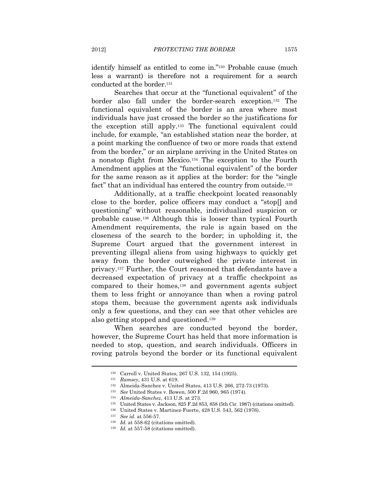identify himself as entitled to come in."130 Probable cause (much less a warrant) is therefore not a requirement for a search conducted at the border.131

Searches that occur at the "functional equivalent" of the border also fall under the border-search exception.132 The functional equivalent of the border is an area where most individuals have just crossed the border so the justifications for the exception still apply.133 The functional equivalent could include, for example, "an established station near the border, at a point marking the confluence of two or more roads that extend from the border," or an airplane arriving in the United States on a nonstop flight from Mexico.134 The exception to the Fourth Amendment applies at the "functional equivalent" of the border for the same reason as it applies at the border: for the "single fact" that an individual has entered the country from outside.<sup>135</sup>

Additionally, at a traffic checkpoint located reasonably close to the border, police officers may conduct a "stop[] and questioning" without reasonable, individualized suspicion or probable cause.136 Although this is looser than typical Fourth Amendment requirements, the rule is again based on the closeness of the search to the border; in upholding it, the Supreme Court argued that the government interest in preventing illegal aliens from using highways to quickly get away from the border outweighed the private interest in privacy.137 Further, the Court reasoned that defendants have a decreased expectation of privacy at a traffic checkpoint as compared to their homes,138 and government agents subject them to less fright or annoyance than when a roving patrol stops them, because the government agents ask individuals only a few questions, and they can see that other vehicles are also getting stopped and questioned.139

When searches are conducted beyond the border, however, the Supreme Court has held that more information is needed to stop, question, and search individuals. Officers in roving patrols beyond the border or its functional equivalent

<sup>&</sup>lt;sup>130</sup> Carroll v. United States, 267 U.S. 132, 154 (1925).<br>
<sup>131</sup> Ramsey, 431 U.S. at 619.<br>
<sup>132</sup> Almeida-Sanchez v. United States, 413 U.S. 266, 272-73 (1973).<br>
<sup>133</sup> *See* United States v. Bowen, 500 F.2d 960, 965 (1974)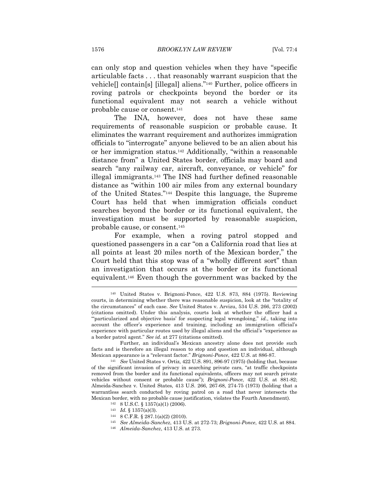can only stop and question vehicles when they have "specific articulable facts . . . that reasonably warrant suspicion that the vehicle[] contain[s] [illegal] aliens."140 Further, police officers in roving patrols or checkpoints beyond the border or its functional equivalent may not search a vehicle without probable cause or consent.141

The INA, however, does not have these same requirements of reasonable suspicion or probable cause. It eliminates the warrant requirement and authorizes immigration officials to "interrogate" anyone believed to be an alien about his or her immigration status.142 Additionally, "within a reasonable distance from" a United States border, officials may board and search "any railway car, aircraft, conveyance, or vehicle" for illegal immigrants.143 The INS had further defined reasonable distance as "within 100 air miles from any external boundary of the United States."144 Despite this language, the Supreme Court has held that when immigration officials conduct searches beyond the border or its functional equivalent, the investigation must be supported by reasonable suspicion, probable cause, or consent.145

For example, when a roving patrol stopped and questioned passengers in a car "on a California road that lies at all points at least 20 miles north of the Mexican border," the Court held that this stop was of a "wholly different sort" than an investigation that occurs at the border or its functional equivalent.146 Even though the government was backed by the

- 
- 
- 
- 
- 

<sup>140</sup> United States v. Brignoni-Ponce, 422 U.S. 873, 884 (1975). Reviewing courts, in determining whether there was reasonable suspicion, look at the "totality of the circumstances" of each case. *See* United States v. Arvizu, 534 U.S. 266, 273 (2002) (citations omitted). Under this analysis, courts look at whether the officer had a "'particularized and objective basis' for suspecting legal wrongdoing," *id.*, taking into account the officer's experience and training, including an immigration official's experience with particular routes used by illegal aliens and the official's "experience as a border patrol agent." *See id.* at 277 (citations omitted).

Further, an individual's Mexican ancestry alone does not provide such facts and is therefore an illegal reason to stop and question an individual, although Mexican appearance is a "relevant factor." *Brignoni-Ponce*, 422 U.S. at 886-87. 141 *See* United States v. Ortiz, 422 U.S. 891, 896-97 (1975) (holding that, because

of the significant invasion of privacy in searching private cars, "at traffic checkpoints removed from the border and its functional equivalents, officers may not search private vehicles without consent or probable cause"); *Brignoni-Ponce*, 422 U.S. at 881-82; Almeida-Sanchez v. United States, 413 U.S. 266, 267-68, 274-75 (1973) (holding that a warrantless search conducted by roving patrol on a road that never intersects the  $\begin{array}{lllllllllll} \hbox{Mexican border, with no probable cause justification, violates the Fourth Amendment).\\ & & 142 & 8 U.S.C. \S~1357(a)(1)~(2006).\\ & & 143 & Id. \S~1357(a)(3).\\ & & 144 & 8 C.F.R. \S~287.1(a)(2)~(2010).\\ & & 145 & See Almeida-Sanchez,~413 U.S.~at~272-73; *Brignoni-Ponce,~422 U.S.~at~884.\\ & & 146 & Almeida-Sanchez,~413 U.S.~at~273.\\ \hline \end{array}*$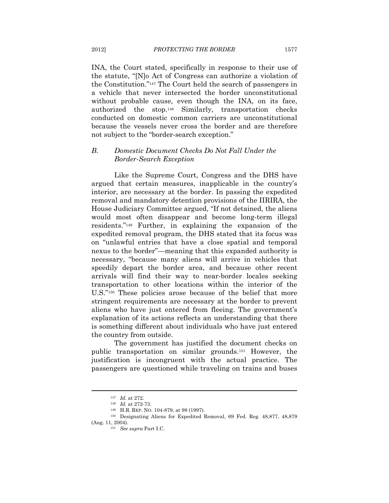INA, the Court stated, specifically in response to their use of the statute, "[N]o Act of Congress can authorize a violation of the Constitution."147 The Court held the search of passengers in a vehicle that never intersected the border unconstitutional without probable cause, even though the INA, on its face, authorized the stop.148 Similarly, transportation checks conducted on domestic common carriers are unconstitutional because the vessels never cross the border and are therefore not subject to the "border-search exception."

### *B. Domestic Document Checks Do Not Fall Under the Border-Search Exception*

Like the Supreme Court, Congress and the DHS have argued that certain measures, inapplicable in the country's interior, are necessary at the border. In passing the expedited removal and mandatory detention provisions of the IIRIRA, the House Judiciary Committee argued, "If not detained, the aliens would most often disappear and become long-term illegal residents."149 Further, in explaining the expansion of the expedited removal program, the DHS stated that its focus was on "unlawful entries that have a close spatial and temporal nexus to the border"—meaning that this expanded authority is necessary, "because many aliens will arrive in vehicles that speedily depart the border area, and because other recent arrivals will find their way to near-border locales seeking transportation to other locations within the interior of the U.S."150 These policies arose because of the belief that more stringent requirements are necessary at the border to prevent aliens who have just entered from fleeing. The government's explanation of its actions reflects an understanding that there is something different about individuals who have just entered the country from outside.

The government has justified the document checks on public transportation on similar grounds.151 However, the justification is incongruent with the actual practice. The passengers are questioned while traveling on trains and buses

<sup>147</sup> *Id.* at 272.<br>
148 *Id.* at 272-73.<br>
149 H.R. REP. NO. 104-879, at 98 (1997).<br>
150 Designating Aliens for Expedited Removal, 69 Fed. Reg. 48,877, 48,879 (Aug. 11, 2004). 151 *See supra* Part I.C.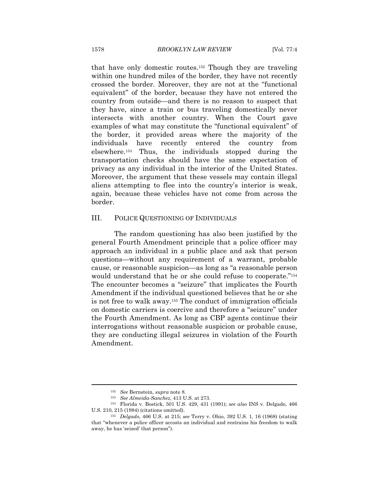that have only domestic routes.152 Though they are traveling within one hundred miles of the border, they have not recently crossed the border. Moreover, they are not at the "functional equivalent" of the border, because they have not entered the country from outside—and there is no reason to suspect that they have, since a train or bus traveling domestically never intersects with another country. When the Court gave examples of what may constitute the "functional equivalent" of the border, it provided areas where the majority of the individuals have recently entered the country from elsewhere.153 Thus, the individuals stopped during the transportation checks should have the same expectation of privacy as any individual in the interior of the United States. Moreover, the argument that these vessels may contain illegal aliens attempting to flee into the country's interior is weak, again, because these vehicles have not come from across the border.

#### III. POLICE QUESTIONING OF INDIVIDUALS

The random questioning has also been justified by the general Fourth Amendment principle that a police officer may approach an individual in a public place and ask that person questions—without any requirement of a warrant, probable cause, or reasonable suspicion—as long as "a reasonable person would understand that he or she could refuse to cooperate."154 The encounter becomes a "seizure" that implicates the Fourth Amendment if the individual questioned believes that he or she is not free to walk away.155 The conduct of immigration officials on domestic carriers is coercive and therefore a "seizure" under the Fourth Amendment. As long as CBP agents continue their interrogations without reasonable suspicion or probable cause, they are conducting illegal seizures in violation of the Fourth Amendment.

<sup>152</sup> *See* Bernstein, *supra* note 8. 153 *See Almeida-Sanchez*, 413 U.S. at 273. 154 Florida v. Bostick, 501 U.S. 429, 431 (1991); *see also* INS v. Delgado, 466 U.S. 210, 215 (1984) (citations omitted). 155 *Delgado*, 466 U.S. at 215; *see* Terry v. Ohio, 392 U.S. 1, 16 (1968) (stating

that "whenever a police officer accosts an individual and restrains his freedom to walk away, he has 'seized' that person").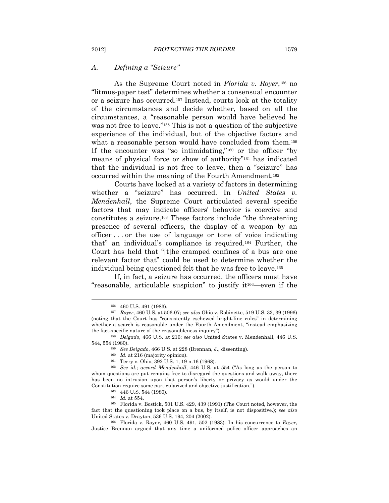#### *A. Defining a "Seizure"*

As the Supreme Court noted in *Florida v. Royer*,156 no "litmus-paper test" determines whether a consensual encounter or a seizure has occurred.157 Instead, courts look at the totality of the circumstances and decide whether, based on all the circumstances, a "reasonable person would have believed he was not free to leave."158 This is not a question of the subjective experience of the individual, but of the objective factors and what a reasonable person would have concluded from them.<sup>159</sup> If the encounter was "so intimidating,"160 or the officer "by means of physical force or show of authority"161 has indicated that the individual is not free to leave, then a "seizure" has occurred within the meaning of the Fourth Amendment.162

Courts have looked at a variety of factors in determining whether a "seizure" has occurred. In *United States v. Mendenhall*, the Supreme Court articulated several specific factors that may indicate officers' behavior is coercive and constitutes a seizure.163 These factors include "the threatening presence of several officers, the display of a weapon by an officer . . . or the use of language or tone of voice indicating that" an individual's compliance is required.164 Further, the Court has held that "[t]he cramped confines of a bus are one relevant factor that" could be used to determine whether the individual being questioned felt that he was free to leave.165

If, in fact, a seizure has occurred, the officers must have "reasonable, articulable suspicion" to justify it166—even if the

<sup>156 460</sup> U.S. 491 (1983). 157 *Royer*, 460 U.S. at 506-07; *see also* Ohio v. Robinette, 519 U.S. 33, 39 (1996) (noting that the Court has "consistently eschewed bright-line rules" in determining whether a search is reasonable under the Fourth Amendment, "instead emphasizing the fact-specific nature of the reasonableness inquiry"). 158 *Delgado*, 466 U.S. at 216; *see also* United States v. Mendenhall, 446 U.S.

<sup>544, 554 (1980).&</sup>lt;br><sup>159</sup> *See Delgado*, 466 U.S. at 228 (Brennan, J., dissenting).<br><sup>160</sup> *Id.* at 216 (majority opinion).<br><sup>161</sup> Terry v. Ohio, 392 U.S. 1, 19 n.16 (1968).<br><sup>162</sup> *See id.*; *accord Mendenhall*, 446 U.S. at 55

whom questions are put remains free to disregard the questions and walk away, there has been no intrusion upon that person's liberty or privacy as would under the Constitution require some particularized and objective justification.").<br><sup>163</sup> 446 U.S. 544 (1980).<br><sup>164</sup> *Id.* at 554.<br><sup>165</sup> Florida v. Bostick, 501 U.S. 429, 439 (1991) (The Court noted, however, the

fact that the questioning took place on a bus, by itself, is not dispositive.); *see also* 

<sup>&</sup>lt;sup>166</sup> Florida v. Royer, 460 U.S. 491, 502 (1983). In his concurrence to *Royer*, Justice Brennan argued that any time a uniformed police officer approaches an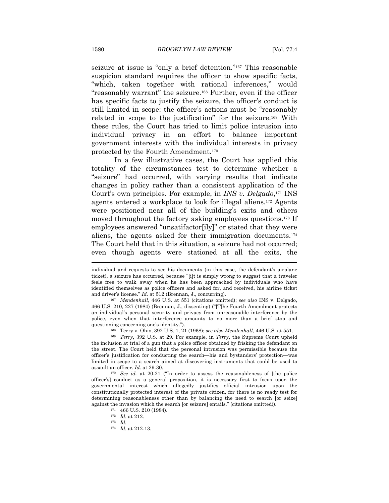seizure at issue is "only a brief detention."167 This reasonable suspicion standard requires the officer to show specific facts, "which, taken together with rational inferences," would "reasonably warrant" the seizure.168 Further, even if the officer has specific facts to justify the seizure, the officer's conduct is still limited in scope: the officer's actions must be "reasonably related in scope to the justification" for the seizure.169 With these rules, the Court has tried to limit police intrusion into individual privacy in an effort to balance important government interests with the individual interests in privacy protected by the Fourth Amendment.170

In a few illustrative cases, the Court has applied this totality of the circumstances test to determine whether a "seizure" had occurred, with varying results that indicate changes in policy rather than a consistent application of the Court's own principles. For example, in *INS v. Delgado*,171 INS agents entered a workplace to look for illegal aliens.172 Agents were positioned near all of the building's exits and others moved throughout the factory asking employees questions.<sup>173</sup> If employees answered "unsatifactor[ily]" or stated that they were aliens, the agents asked for their immigration documents.174 The Court held that in this situation, a seizure had not occurred; even though agents were stationed at all the exits, the

individual and requests to see his documents (in this case, the defendant's airplane ticket), a seizure has occurred, because "[i]t is simply wrong to suggest that a traveler feels free to walk away when he has been approached by individuals who have identified themselves as police officers and asked for, and received, his airline ticket and driver's license." *Id.* at 512 (Brennan, J., concurring). 167 *Mendenhall*, 446 U.S. at 551 (citations omitted); *see also* INS v. Delgado,

<sup>466</sup> U.S. 210, 227 (1984) (Brennan, J., dissenting) ("[T]he Fourth Amendment protects an individual's personal security and privacy from unreasonable interference by the police, even when that interference amounts to no more than a brief stop and questioning concerning one's identity.").<br><sup>168</sup> Terry v. Ohio, 392 U.S. 1, 21 (1968); *see also Mendenhall*, 446 U.S. at 551.<br><sup>169</sup> *Terry*, 392 U.S. at 29. For example, in *Terry*, the Supreme Court upheld

the inclusion at trial of a gun that a police officer obtained by frisking the defendant on the street. The Court held that the personal intrusion was permissible because the officer's justification for conducting the search—his and bystanders' protection—was limited in scope to a search aimed at discovering instruments that could be used to assault an officer. *Id.* at 29-30.<br><sup>170</sup> *See id.* at 20-21 ("In order to assess the reasonableness of [the police

officer's] conduct as a general proposition, it is necessary first to focus upon the governmental interest which allegedly justifies official intrusion upon the constitutionally protected interest of the private citizen, for there is no ready test for determining reasonableness other than by balancing the need to search [or seize] against the invasion which the search [or seizure] entails." (citations omitted)). <sup>171</sup> 466 U.S. 210 (1984). <sup>172</sup> *Id.* at 212. <sup>173</sup> *Id.* 

<sup>174</sup> *Id.* at 212-13.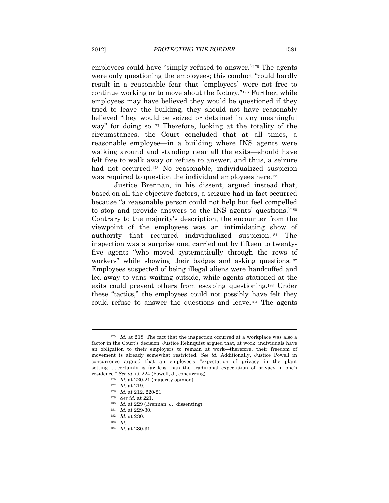employees could have "simply refused to answer."175 The agents were only questioning the employees; this conduct "could hardly result in a reasonable fear that [employees] were not free to continue working or to move about the factory."176 Further, while employees may have believed they would be questioned if they tried to leave the building, they should not have reasonably believed "they would be seized or detained in any meaningful way" for doing so.<sup>177</sup> Therefore, looking at the totality of the circumstances, the Court concluded that at all times, a reasonable employee—in a building where INS agents were walking around and standing near all the exits—should have felt free to walk away or refuse to answer, and thus, a seizure had not occurred.<sup>178</sup> No reasonable, individualized suspicion was required to question the individual employees here.<sup>179</sup>

Justice Brennan, in his dissent, argued instead that, based on all the objective factors, a seizure had in fact occurred because "a reasonable person could not help but feel compelled to stop and provide answers to the INS agents' questions."180 Contrary to the majority's description, the encounter from the viewpoint of the employees was an intimidating show of authority that required individualized suspicion.181 The inspection was a surprise one, carried out by fifteen to twentyfive agents "who moved systematically through the rows of workers" while showing their badges and asking questions.182 Employees suspected of being illegal aliens were handcuffed and led away to vans waiting outside, while agents stationed at the exits could prevent others from escaping questioning.183 Under these "tactics," the employees could not possibly have felt they could refuse to answer the questions and leave.184 The agents

<sup>&</sup>lt;sup>175</sup> Id. at 218. The fact that the inspection occurred at a workplace was also a factor in the Court's decision: Justice Rehnquist argued that, at work, individuals have an obligation to their employers to remain at work—therefore, their freedom of movement is already somewhat restricted. *See id.* Additionally, Justice Powell in concurrence argued that an employee's "expectation of privacy in the plant setting . . . certainly is far less than the traditional expectation of privacy in one's residence." See id. at 224 (Powell, J., concurring).<br>
<sup>176</sup> Id. at 220-21 (majority opinion).<br>
<sup>177</sup> Id. at 219.<br>
<sup>178</sup> Id. at 212, 220-21.<br>
<sup>179</sup> See id. at 221.<br>
<sup>180</sup> Id. at 229 (Brennan, J., dissenting).<br>
<sup>181</sup> Id. at

<sup>184</sup> *Id.* at 230-31.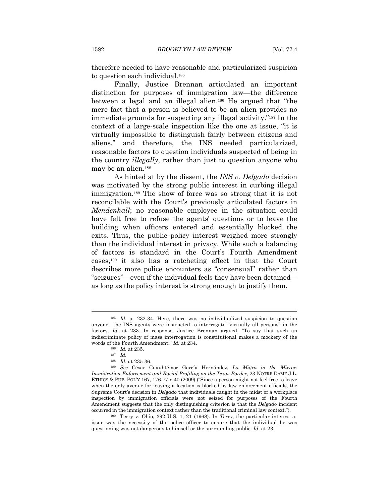therefore needed to have reasonable and particularized suspicion to question each individual.<sup>185</sup>

Finally, Justice Brennan articulated an important distinction for purposes of immigration law—the difference between a legal and an illegal alien.186 He argued that "the mere fact that a person is believed to be an alien provides no immediate grounds for suspecting any illegal activity."187 In the context of a large-scale inspection like the one at issue, "it is virtually impossible to distinguish fairly between citizens and aliens," and therefore, the INS needed particularized, reasonable factors to question individuals suspected of being in the country *illegally*, rather than just to question anyone who may be an alien.188

As hinted at by the dissent, the *INS v. Delgado* decision was motivated by the strong public interest in curbing illegal immigration.189 The show of force was so strong that it is not reconcilable with the Court's previously articulated factors in *Mendenhall*; no reasonable employee in the situation could have felt free to refuse the agents' questions or to leave the building when officers entered and essentially blocked the exits. Thus, the public policy interest weighed more strongly than the individual interest in privacy. While such a balancing of factors is standard in the Court's Fourth Amendment cases,190 it also has a ratcheting effect in that the Court describes more police encounters as "consensual" rather than "seizures"—even if the individual feels they have been detained as long as the policy interest is strong enough to justify them.

<sup>185</sup> *Id.* at 232-34. Here, there was no individualized suspicion to question anyone—the INS agents were instructed to interrogate "virtually all persons" in the factory. *Id.* at 233. In response, Justice Brennan argued, "To say that such an indiscriminate policy of mass interrogation is constitutional makes a mockery of the words of the Fourth Amendment." *Id.* at 234. 186 *Id.* at 235. 187 *Id.*

<sup>&</sup>lt;sup>189</sup> See César Cuauhtémoc García Hernández, *La Migra in the Mirror*: *Immigration Enforcement and Racial Profiling on the Texas Border*, 23 NOTRE DAME J.L. ETHICS & PUB. POL'Y 167, 176-77 n.40 (2009) ("Since a person might not feel free to leave when the only avenue for leaving a location is blocked by law enforcement officials, the Supreme Court's decision in *Delgado* that individuals caught in the midst of a workplace inspection by immigration officials were not seized for purposes of the Fourth Amendment suggests that the only distinguishing criterion is that the *Delgado* incident

occurred in the immigration context rather than the traditional criminal law context."). 190 Terry v. Ohio, 392 U.S. 1, 21 (1968). In *Terry*, the particular interest at issue was the necessity of the police officer to ensure that the individual he was questioning was not dangerous to himself or the surrounding public. *Id.* at 23.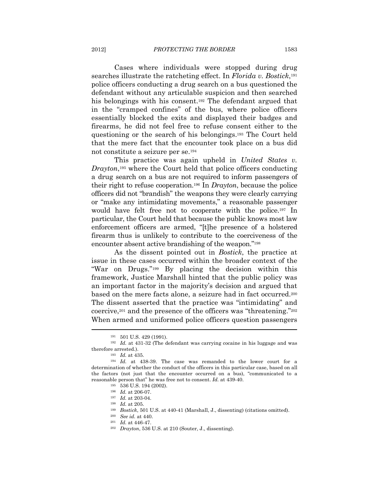Cases where individuals were stopped during drug searches illustrate the ratcheting effect. In *Florida v. Bostick*,191 police officers conducting a drug search on a bus questioned the defendant without any articulable suspicion and then searched his belongings with his consent.192 The defendant argued that in the "cramped confines" of the bus, where police officers essentially blocked the exits and displayed their badges and firearms, he did not feel free to refuse consent either to the questioning or the search of his belongings.193 The Court held that the mere fact that the encounter took place on a bus did not constitute a seizure per se.194

This practice was again upheld in *United States v. Drayton*,<sup>195</sup> where the Court held that police officers conducting a drug search on a bus are not required to inform passengers of their right to refuse cooperation.196 In *Drayton*, because the police officers did not "brandish" the weapons they were clearly carrying or "make any intimidating movements," a reasonable passenger would have felt free not to cooperate with the police.197 In particular, the Court held that because the public knows most law enforcement officers are armed, "[t]he presence of a holstered firearm thus is unlikely to contribute to the coerciveness of the encounter absent active brandishing of the weapon."198

As the dissent pointed out in *Bostick*, the practice at issue in these cases occurred within the broader context of the "War on Drugs."199 By placing the decision within this framework, Justice Marshall hinted that the public policy was an important factor in the majority's decision and argued that based on the mere facts alone, a seizure had in fact occurred.200 The dissent asserted that the practice was "intimidating" and coercive,201 and the presence of the officers was "threatening."202 When armed and uniformed police officers question passengers  $\overline{a}$ 

<sup>191 501</sup> U.S. 429 (1991). 192 *Id.* at 431-32 (The defendant was carrying cocaine in his luggage and was therefore arrested.).<br><sup>193</sup> *Id.* at 435.<br><sup>194</sup> *Id.* at 438-39. The case was remanded to the lower court for a

determination of whether the conduct of the officers in this particular case, based on all the factors (not just that the encounter occurred on a bus), "communicated to a reasonable person that" he was free not to consent. *Id.* at 439-40.<br>
<sup>195</sup> 536 U.S. 194 (2002).<br>
<sup>196</sup> *Id.* at 206-07.<br>
<sup>197</sup> *Id.* at 203-04.<br>
<sup>198</sup> *Id.* at 205.<br>
<sup>199</sup> *Bostick*, 501 U.S. at 440-41 (Marshall, J., dis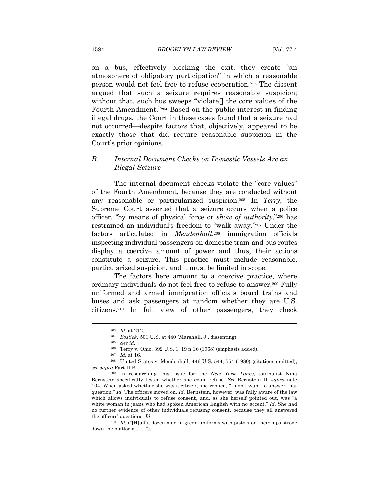on a bus, effectively blocking the exit, they create "an atmosphere of obligatory participation" in which a reasonable person would not feel free to refuse cooperation.203 The dissent argued that such a seizure requires reasonable suspicion; without that, such bus sweeps "violate[] the core values of the Fourth Amendment."204 Based on the public interest in finding illegal drugs, the Court in these cases found that a seizure had not occurred—despite factors that, objectively, appeared to be exactly those that did require reasonable suspicion in the Court's prior opinions.

### *B. Internal Document Checks on Domestic Vessels Are an Illegal Seizure*

The internal document checks violate the "core values" of the Fourth Amendment, because they are conducted without any reasonable or particularized suspicion.205 In *Terry*, the Supreme Court asserted that a seizure occurs when a police officer, "by means of physical force or *show of authority*,"206 has restrained an individual's freedom to "walk away."207 Under the factors articulated in *Mendenhall*,208 immigration officials inspecting individual passengers on domestic train and bus routes display a coercive amount of power and thus, their actions constitute a seizure. This practice must include reasonable, particularized suspicion, and it must be limited in scope.

The factors here amount to a coercive practice, where ordinary individuals do not feel free to refuse to answer.209 Fully uniformed and armed immigration officials board trains and buses and ask passengers at random whether they are U.S. citizens.210 In full view of other passengers, they check

<sup>203</sup> *Id.* at 212. 204 *Bostick*, 501 U.S. at 440 (Marshall, J., dissenting). 205 *See id.*

<sup>&</sup>lt;sup>206</sup> Terry v. Ohio, 392 U.S. 1, 19 n.16 (1968) (emphasis added). <sup>207</sup> *Id.* at 16.

<sup>208</sup> United States v. Mendenhall, 446 U.S. 544, 554 (1980) (citations omitted); *see supra* Part II.B.

<sup>209</sup> In researching this issue for the *New York Times*, journalist Nina Bernstein specifically tested whether she could refuse. *See* Bernstein II, *supra* note 104. When asked whether she was a citizen, she replied, "I don't want to answer that question." *Id.* The officers moved on. *Id.* Bernstein, however, was fully aware of the law which allows individuals to refuse consent, and, as she herself pointed out, was "a white woman in jeans who had spoken American English with no accent." *Id.* She had no further evidence of other individuals refusing consent, because they all answered the officers' questions. *Id.*

<sup>210</sup> *Id.* ("[H]alf a dozen men in green uniforms with pistols on their hips strode down the platform . . . .").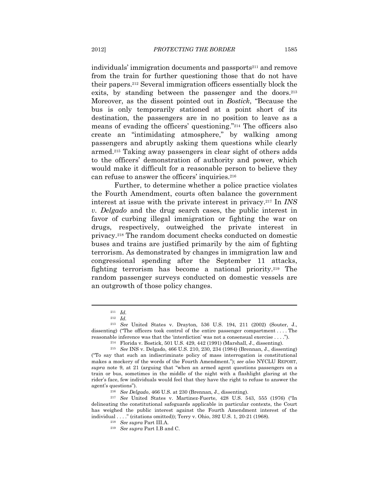individuals' immigration documents and passports<sup>211</sup> and remove from the train for further questioning those that do not have their papers.212 Several immigration officers essentially block the exits, by standing between the passenger and the doors.<sup>213</sup> Moreover, as the dissent pointed out in *Bostick*, "Because the bus is only temporarily stationed at a point short of its destination, the passengers are in no position to leave as a means of evading the officers' questioning."214 The officers also create an "intimidating atmosphere," by walking among passengers and abruptly asking them questions while clearly armed.215 Taking away passengers in clear sight of others adds to the officers' demonstration of authority and power, which would make it difficult for a reasonable person to believe they can refuse to answer the officers' inquiries.216

Further, to determine whether a police practice violates the Fourth Amendment, courts often balance the government interest at issue with the private interest in privacy.217 In *INS v. Delgado* and the drug search cases, the public interest in favor of curbing illegal immigration or fighting the war on drugs, respectively, outweighed the private interest in privacy.218 The random document checks conducted on domestic buses and trains are justified primarily by the aim of fighting terrorism. As demonstrated by changes in immigration law and congressional spending after the September 11 attacks, fighting terrorism has become a national priority.219 The random passenger surveys conducted on domestic vessels are an outgrowth of those policy changes.

<sup>211</sup> *Id.*

<sup>212</sup> *Id.*

<sup>213</sup> *See* United States v. Drayton, 536 U.S. 194, 211 (2002) (Souter, J., dissenting) ("The officers took control of the entire passenger compartment . . . . The reasonable inference was that the 'interdiction' was not a consensual exercise ....").<br><sup>214</sup> Florida v. Bostick, 501 U.S. 429, 442 (1991) (Marshall, J., dissenting).<br><sup>215</sup> *See* INS v. Delgado, 466 U.S. 210, 230, 234 (198

<sup>(&</sup>quot;To say that such an indiscriminate policy of mass interrogation is constitutional makes a mockery of the words of the Fourth Amendment."); *see also* NYCLU REPORT, *supra* note 9, at 21 (arguing that "when an armed agent questions passengers on a train or bus, sometimes in the middle of the night with a flashlight glaring at the rider's face, few individuals would feel that they have the right to refuse to answer the agent's questions"). 216 *See Delgado*, 466 U.S. at 230 (Brennan, J., dissenting). 217 *See* United States v. Martinez-Fuerte, 428 U.S. 543, 555 (1976) ("In

delineating the constitutional safeguards applicable in particular contexts, the Court has weighed the public interest against the Fourth Amendment interest of the individual . . . ." (citations omitted)); Terry v. Ohio, 392 U.S. 1, 20-21 (1968). 218 *See supra* Part III.A. 219 *See supra* Part I.B and C.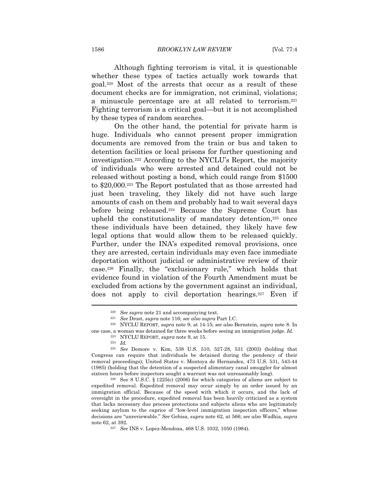1586 *BROOKLYN LAW REVIEW* [Vol. 77:4

Although fighting terrorism is vital, it is questionable whether these types of tactics actually work towards that goal.220 Most of the arrests that occur as a result of these document checks are for immigration, not criminal, violations; a minuscule percentage are at all related to terrorism.221 Fighting terrorism is a critical goal—but it is not accomplished by these types of random searches.

On the other hand, the potential for private harm is huge. Individuals who cannot present proper immigration documents are removed from the train or bus and taken to detention facilities or local prisons for further questioning and investigation.222 According to the NYCLU's Report, the majority of individuals who were arrested and detained could not be released without posting a bond, which could range from \$1500 to \$20,000.223 The Report postulated that as those arrested had just been traveling, they likely did not have such large amounts of cash on them and probably had to wait several days before being released.224 Because the Supreme Court has upheld the constitutionality of mandatory detention,225 once these individuals have been detained, they likely have few legal options that would allow them to be released quickly. Further, under the INA's expedited removal provisions, once they are arrested, certain individuals may even face immediate deportation without judicial or administrative review of their case.226 Finally, the "exclusionary rule," which holds that evidence found in violation of the Fourth Amendment must be excluded from actions by the government against an individual, does not apply to civil deportation hearings.227 Even if

<sup>&</sup>lt;sup>220</sup> See supra note 21 and accompanying text.<br><sup>221</sup> See Drost, *supra* note 116; *see also supra* Part I.C.<br><sup>222</sup> NYCLU REPORT, *supra* note 9, at 14-15; *see also* Bernstein, *supra* note 8. In one case, a woman was detained for three weeks before seeing an immigration judge. *Id.*

 $^{223}$  NYCLU REPORT,  ${supra}$  note 9, at 15.  $^{224}$   $\,$   $Id.$ 

<sup>225</sup> *See* Demore v. Kim, 538 U.S. 510, 527-28, 531 (2003) (holding that Congress can require that individuals be detained during the pendency of their removal proceedings); United States v. Montoya de Hernandez, 473 U.S. 531, 543-44 (1985) (holding that the detention of a suspected alimentary canal smuggler for almost sixteen hours before inspectors sought a warrant was not unreasonably long).<br><sup>226</sup> See 8 U.S.C. § 1225(c) (2006) for which categories of aliens are subject to

expedited removal. Expedited removal may occur simply by an order issued by an immigration official. Because of the speed with which it occurs, and the lack of oversight in the procedure, expedited removal has been heavily criticized as a system that lacks necessary due process protections and subjects aliens who are legitimately seeking asylum to the caprice of "low-level immigration inspection officers," whose decisions are "unreviewable." *See* Gebisa, *supra* note 62, at 566; *see also* Wadhia, *supra*  note 62, at 392. 227 *See* INS v. Lopez-Mendoza, 468 U.S. 1032, 1050 (1984).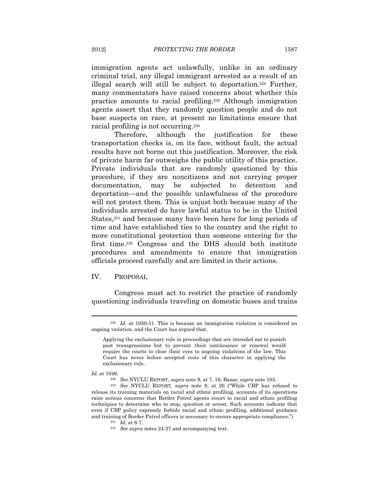immigration agents act unlawfully, unlike in an ordinary criminal trial, any illegal immigrant arrested as a result of an illegal search will still be subject to deportation.228 Further, many commentators have raised concerns about whether this practice amounts to racial profiling.229 Although immigration agents assert that they randomly question people and do not base suspects on race, at present no limitations ensure that racial profiling is not occurring.230

Therefore, although the justification for these transportation checks is, on its face, without fault, the actual results have not borne out this justification. Moreover, the risk of private harm far outweighs the public utility of this practice. Private individuals that are randomly questioned by this procedure, if they are noncitizens and not carrying proper documentation, may be subjected to detention and deportation—and the possible unlawfulness of the procedure will not protect them. This is unjust both because many of the individuals arrested do have lawful status to be in the United States,<sup>231</sup> and because many have been here for long periods of time and have established ties to the country and the right to more constitutional protection than someone entering for the first time.232 Congress and the DHS should both institute procedures and amendments to ensure that immigration officials proceed carefully and are limited in their actions.

#### IV. PROPOSAL

Congress must act to restrict the practice of randomly questioning individuals traveling on domestic buses and trains

<sup>228</sup> *Id.* at 1050-51. This is because an immigration violation is considered an ongoing violation, and the Court has argued that,

Applying the exclusionary rule in proceedings that are intended not to punish past transgressions but to prevent their continuance or renewal would require the courts to close their eyes to ongoing violations of the law. This Court has never before accepted costs of this character in applying the exclusionary rule.

*Id.* at 1046. 229 *See* NYCLU REPORT, *supra* note 9, at 7, 16; Bazar, *supra* note 103. 230 *See* NYCLU REPORT, *supra* note 9, at 26 ("While CBP has refused to

release its training materials on racial and ethnic profiling, accounts of its operations raise serious concerns that Border Patrol agents resort to racial and ethnic profiling techniques to determine who to stop, question or arrest. Such accounts indicate that even if CBP policy expressly forbids racial and ethnic profiling, additional guidance and training of Border Patrol officers is necessary to ensure appropriate compliance.") 231 *Id.* at 6-7. 232 *See supra* notes 24-27 and accompanying text.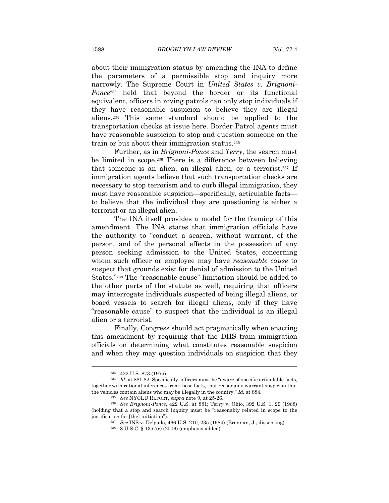about their immigration status by amending the INA to define the parameters of a permissible stop and inquiry more narrowly. The Supreme Court in *United States v. Brignoni-Ponce*233 held that beyond the border or its functional equivalent, officers in roving patrols can only stop individuals if they have reasonable suspicion to believe they are illegal aliens.234 This same standard should be applied to the transportation checks at issue here. Border Patrol agents must have reasonable suspicion to stop and question someone on the train or bus about their immigration status.235

Further, as in *Brignoni-Ponce* and *Terry*, the search must be limited in scope.236 There is a difference between believing that someone is an alien, an illegal alien, or a terrorist.237 If immigration agents believe that such transportation checks are necessary to stop terrorism and to curb illegal immigration, they must have reasonable suspicion—specifically, articulable facts to believe that the individual they are questioning is either a terrorist or an illegal alien.

The INA itself provides a model for the framing of this amendment. The INA states that immigration officials have the authority to "conduct a search, without warrant, of the person, and of the personal effects in the possession of any person seeking admission to the United States, concerning whom such officer or employee may have *reasonable cause* to suspect that grounds exist for denial of admission to the United States."238 The "reasonable cause" limitation should be added to the other parts of the statute as well, requiring that officers may interrogate individuals suspected of being illegal aliens, or board vessels to search for illegal aliens, only if they have "reasonable cause" to suspect that the individual is an illegal alien or a terrorist.

Finally, Congress should act pragmatically when enacting this amendment by requiring that the DHS train immigration officials on determining what constitutes reasonable suspicion and when they may question individuals on suspicion that they

<sup>233 422</sup> U.S. 873 (1975). 234 *Id.* at 881-82. Specifically, officers must be "aware of specific articulable facts, together with rational inferences from those facts, that reasonably warrant suspicion that the vehicles contain aliens who may be illegally in the country." *Id.* at 884.<br><sup>235</sup> See NYCLU REPORT, supra note 9, at 25-26.<br><sup>236</sup> See Brignoni-Ponce, 422 U.S. at 881; Terry v. Ohio, 392 U.S. 1, 29 (1968)

<sup>(</sup>holding that a stop and search inquiry must be "reasonably related in scope to the justification for [the] initiation"). 237 *See* INS v. Delgado, 466 U.S. 210, 235 (1984) (Brennan, J., dissenting). 238 8 U.S.C. § 1357(c) (2006) (emphasis added).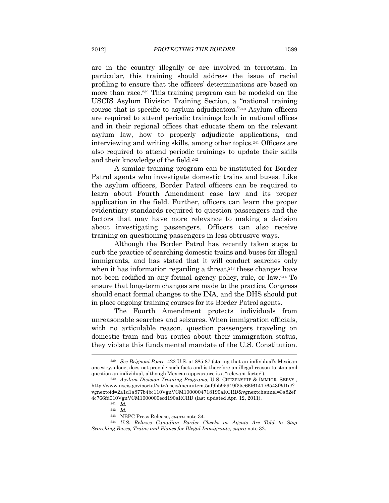are in the country illegally or are involved in terrorism. In particular, this training should address the issue of racial profiling to ensure that the officers' determinations are based on more than race.<sup>239</sup> This training program can be modeled on the USCIS Asylum Division Training Section, a "national training course that is specific to asylum adjudicators."240 Asylum officers are required to attend periodic trainings both in national offices and in their regional offices that educate them on the relevant asylum law, how to properly adjudicate applications, and interviewing and writing skills, among other topics.241 Officers are also required to attend periodic trainings to update their skills and their knowledge of the field.242

A similar training program can be instituted for Border Patrol agents who investigate domestic trains and buses. Like the asylum officers, Border Patrol officers can be required to learn about Fourth Amendment case law and its proper application in the field. Further, officers can learn the proper evidentiary standards required to question passengers and the factors that may have more relevance to making a decision about investigating passengers. Officers can also receive training on questioning passengers in less obtrusive ways.

Although the Border Patrol has recently taken steps to curb the practice of searching domestic trains and buses for illegal immigrants, and has stated that it will conduct searches only when it has information regarding a threat, $243$  these changes have not been codified in any formal agency policy, rule, or law.244 To ensure that long-term changes are made to the practice, Congress should enact formal changes to the INA, and the DHS should put in place ongoing training courses for its Border Patrol agents.

The Fourth Amendment protects individuals from unreasonable searches and seizures. When immigration officials, with no articulable reason, question passengers traveling on domestic train and bus routes about their immigration status, they violate this fundamental mandate of the U.S. Constitution.  $\overline{a}$ 

<sup>239</sup> *See Brignoni-Ponce*, 422 U.S. at 885-87 (stating that an individual's Mexican ancestry, alone, does not provide such facts and is therefore an illegal reason to stop and question an individual, although Mexican appearance is a "relevant factor"). 240 *Asylum Division Training Programs*, U.S. CITIZENSHIP & IMMIGR. SERVS.,

http://www.uscis.gov/portal/site/uscis/menuitem.5af9bb95919f35e66f614176543f6d1a/? vgnextoid=2a1d1a877b4bc110VgnVCM1000004718190aRCRD&vgnextchannel=3a82ef 4c766fd010VgnVCM1000000ecd190aRCRD (last updated Apr. 12, 2011). 241 *Id.*

<sup>242</sup> *Id.* 

<sup>243</sup> NBPC Press Release, *supra* note 34*.*

<sup>244</sup> *U.S. Relaxes Canadian Border Checks as Agents Are Told to Stop Searching Buses, Trains and Planes for Illegal Immigrants*, *supra* note 32.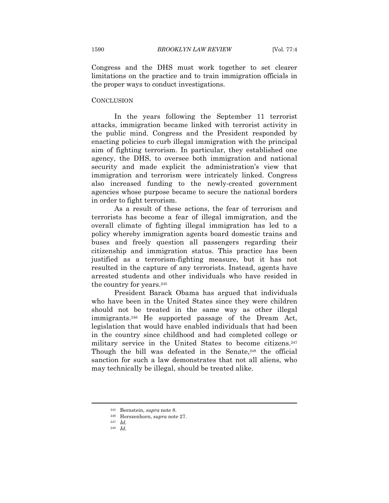Congress and the DHS must work together to set clearer limitations on the practice and to train immigration officials in the proper ways to conduct investigations.

#### **CONCLUSION**

In the years following the September 11 terrorist attacks, immigration became linked with terrorist activity in the public mind. Congress and the President responded by enacting policies to curb illegal immigration with the principal aim of fighting terrorism. In particular, they established one agency, the DHS, to oversee both immigration and national security and made explicit the administration's view that immigration and terrorism were intricately linked. Congress also increased funding to the newly-created government agencies whose purpose became to secure the national borders in order to fight terrorism.

As a result of these actions, the fear of terrorism and terrorists has become a fear of illegal immigration, and the overall climate of fighting illegal immigration has led to a policy whereby immigration agents board domestic trains and buses and freely question all passengers regarding their citizenship and immigration status. This practice has been justified as a terrorism-fighting measure, but it has not resulted in the capture of any terrorists. Instead, agents have arrested students and other individuals who have resided in the country for years.245

President Barack Obama has argued that individuals who have been in the United States since they were children should not be treated in the same way as other illegal immigrants.246 He supported passage of the Dream Act, legislation that would have enabled individuals that had been in the country since childhood and had completed college or military service in the United States to become citizens.<sup>247</sup> Though the bill was defeated in the Senate,<sup>248</sup> the official sanction for such a law demonstrates that not all aliens, who may technically be illegal, should be treated alike.

<sup>245</sup> Bernstein, *supra* note 8. 246 Herszenhorn, *supra* note 27. 247 *Id.* 248 *Id.*